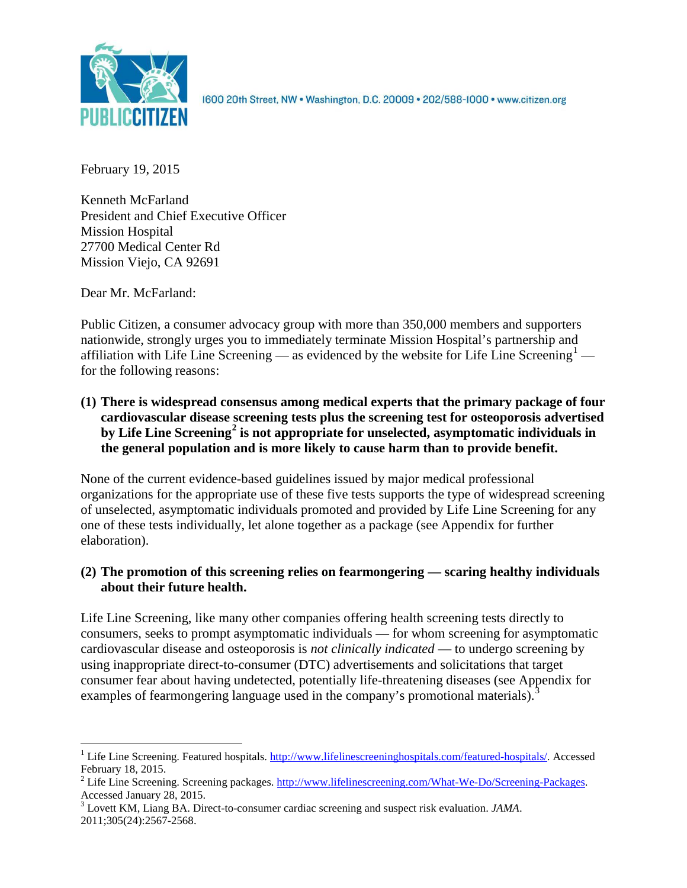

1600 20th Street, NW . Washington, D.C. 20009 . 202/588-1000 . www.citizen.org

February 19, 2015

Kenneth McFarland President and Chief Executive Officer Mission Hospital 27700 Medical Center Rd Mission Viejo, CA 92691

Dear Mr. McFarland:

Public Citizen, a consumer advocacy group with more than 350,000 members and supporters nationwide, strongly urges you to immediately terminate Mission Hospital's partnership and affiliation with Life Line Screening — as evidenced by the website for Life Line Screening<sup>[1](#page-0-0)</sup>. for the following reasons:

**(1) There is widespread consensus among medical experts that the primary package of four cardiovascular disease screening tests plus the screening test for osteoporosis advertised by Life Line Screening[2](#page-0-1) is not appropriate for unselected, asymptomatic individuals in the general population and is more likely to cause harm than to provide benefit.**

None of the current evidence-based guidelines issued by major medical professional organizations for the appropriate use of these five tests supports the type of widespread screening of unselected, asymptomatic individuals promoted and provided by Life Line Screening for any one of these tests individually, let alone together as a package (see Appendix for further elaboration).

# **(2) The promotion of this screening relies on fearmongering — scaring healthy individuals about their future health.**

Life Line Screening, like many other companies offering health screening tests directly to consumers, seeks to prompt asymptomatic individuals — for whom screening for asymptomatic cardiovascular disease and osteoporosis is *not clinically indicated* — to undergo screening by using inappropriate direct-to-consumer (DTC) advertisements and solicitations that target consumer fear about having undetected, potentially life-threatening diseases (see Appendix for examples of fearmongering language used in the company's promotional materials).<sup>[3](#page-0-2)</sup>

<span id="page-0-0"></span><sup>&</sup>lt;sup>1</sup> Life Line Screening. Featured hospitals. [http://www.lifelinescreeninghospitals.com/featured-hospitals/.](http://www.lifelinescreeninghospitals.com/featured-hospitals/) Accessed

<span id="page-0-1"></span>February 18, 2015.<br><sup>2</sup> Life Line Screening. Screening packages. [http://www.lifelinescreening.com/What-We-Do/Screening-Packages.](http://www.lifelinescreening.com/What-We-Do/Screening-Packages)<br>Accessed January 28, 2015.

<span id="page-0-2"></span><sup>&</sup>lt;sup>3</sup> Lovett KM, Liang BA. Direct-to-consumer cardiac screening and suspect risk evaluation. *JAMA*. 2011;305(24):2567-2568.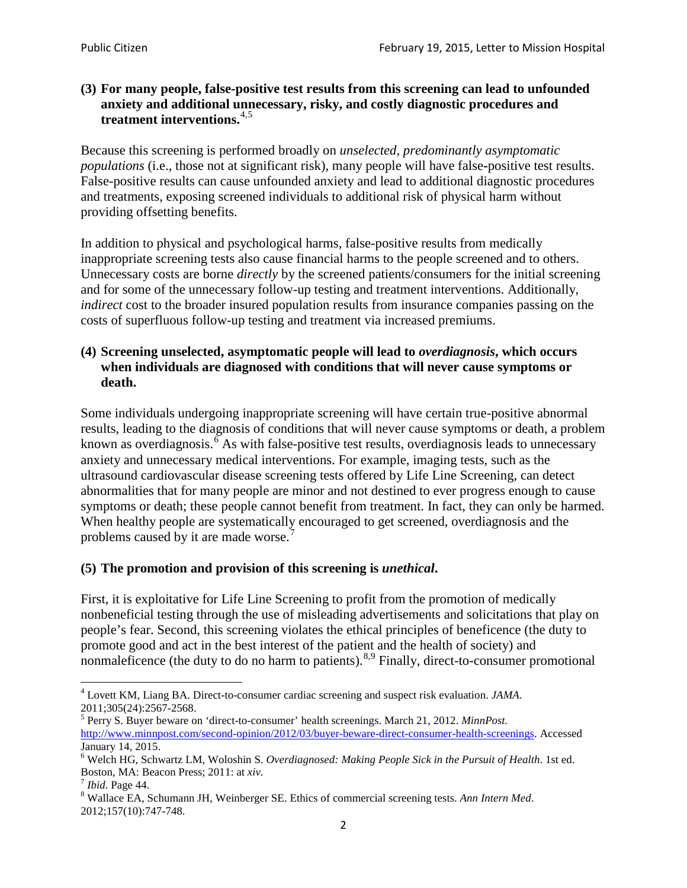### **(3) For many people, false-positive test results from this screening can lead to unfounded anxiety and additional unnecessary, risky, and costly diagnostic procedures and treatment interventions.**[4](#page-1-0),[5](#page-1-1)

Because this screening is performed broadly on *unselected, predominantly asymptomatic populations* (i.e., those not at significant risk), many people will have false**-**positive test results. False-positive results can cause unfounded anxiety and lead to additional diagnostic procedures and treatments, exposing screened individuals to additional risk of physical harm without providing offsetting benefits.

In addition to physical and psychological harms, false-positive results from medically inappropriate screening tests also cause financial harms to the people screened and to others. Unnecessary costs are borne *directly* by the screened patients/consumers for the initial screening and for some of the unnecessary follow-up testing and treatment interventions. Additionally, *indirect* cost to the broader insured population results from insurance companies passing on the costs of superfluous follow-up testing and treatment via increased premiums.

### **(4) Screening unselected, asymptomatic people will lead to** *overdiagnosis***, which occurs when individuals are diagnosed with conditions that will never cause symptoms or death.**

Some individuals undergoing inappropriate screening will have certain true-positive abnormal results, leading to the diagnosis of conditions that will never cause symptoms or death, a problem known as overdiagnosis.<sup>[6](#page-1-2)</sup> As with false-positive test results, overdiagnosis leads to unnecessary anxiety and unnecessary medical interventions. For example, imaging tests, such as the ultrasound cardiovascular disease screening tests offered by Life Line Screening, can detect abnormalities that for many people are minor and not destined to ever progress enough to cause symptoms or death; these people cannot benefit from treatment. In fact, they can only be harmed. When healthy people are systematically encouraged to get screened, overdiagnosis and the problems caused by it are made worse.<sup>[7](#page-1-3)</sup>

## **(5) The promotion and provision of this screening is** *unethical***.**

First, it is exploitative for Life Line Screening to profit from the promotion of medically nonbeneficial testing through the use of misleading advertisements and solicitations that play on people's fear. Second, this screening violates the ethical principles of beneficence (the duty to promote good and act in the best interest of the patient and the health of society) and nonmaleficence (the duty to do no harm to patients).<sup>[8](#page-1-4),[9](#page-1-5)</sup> Finally, direct-to-consumer promotional

<span id="page-1-4"></span>2012;157(10):747-748.

<span id="page-1-5"></span><span id="page-1-0"></span><sup>4</sup> Lovett KM, Liang BA. Direct-to-consumer cardiac screening and suspect risk evaluation. *JAMA*.

<span id="page-1-1"></span><sup>2011;305(24):2567-2568.</sup> <sup>5</sup> Perry S. Buyer beware on 'direct-to-consumer' health screenings. March 21, 2012. *MinnPost.*  [http://www.minnpost.com/second-opinion/2012/03/buyer-beware-direct-consumer-health-screenings.](http://www.minnpost.com/second-opinion/2012/03/buyer-beware-direct-consumer-health-screenings) Accessed January 14, 2015.

<span id="page-1-2"></span><sup>6</sup> Welch HG, Schwartz LM, Woloshin S. *Overdiagnosed: Making People Sick in the Pursuit of Health*. 1st ed. Boston, MA: Beacon Press; 2011: at *xiv*.<br><sup>7</sup> *Ibid*. Page 44.<br><sup>8</sup> Wallace EA, Schumann JH, Weinberger SE. Ethics of commercial screening tests. *Ann Intern Med*.

<span id="page-1-3"></span>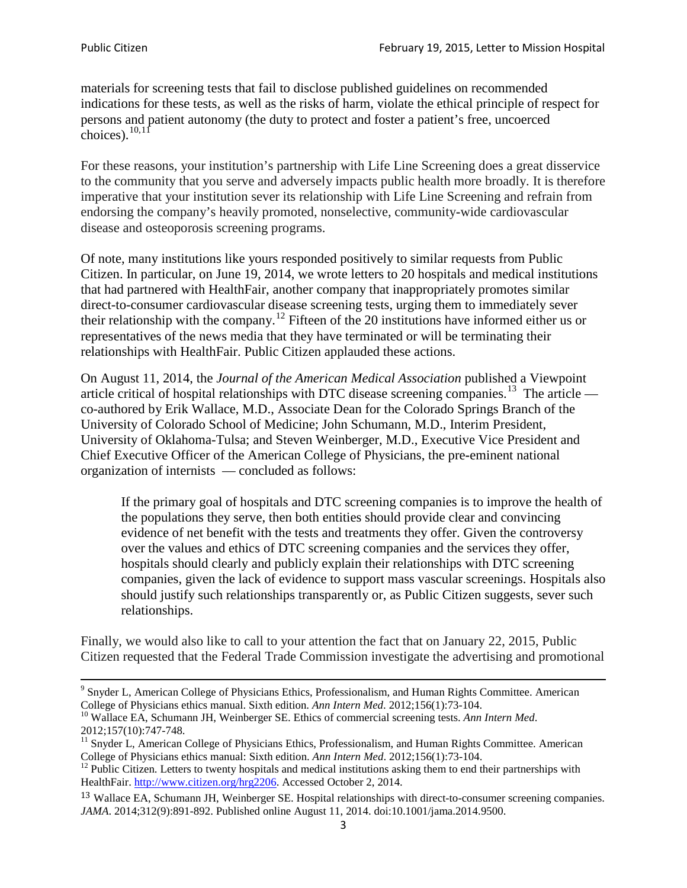materials for screening tests that fail to disclose published guidelines on recommended indications for these tests, as well as the risks of harm, violate the ethical principle of respect for persons and patient autonomy (the duty to protect and foster a patient's free, uncoerced choices). $\frac{10,11}{10,11}$  $\frac{10,11}{10,11}$  $\frac{10,11}{10,11}$  $\frac{10,11}{10,11}$ 

For these reasons, your institution's partnership with Life Line Screening does a great disservice to the community that you serve and adversely impacts public health more broadly. It is therefore imperative that your institution sever its relationship with Life Line Screening and refrain from endorsing the company's heavily promoted, nonselective, community**-**wide cardiovascular disease and osteoporosis screening programs.

Of note, many institutions like yours responded positively to similar requests from Public Citizen. In particular, on June 19, 2014, we wrote letters to 20 hospitals and medical institutions that had partnered with HealthFair, another company that inappropriately promotes similar direct-to-consumer cardiovascular disease screening tests, urging them to immediately sever their relationship with the company. [12](#page-2-2) Fifteen of the 20 institutions have informed either us or representatives of the news media that they have terminated or will be terminating their relationships with HealthFair. Public Citizen applauded these actions.

On August 11, 2014, the *Journal of the American Medical Association* published a Viewpoint article critical of hospital relationships with DTC disease screening companies.<sup>13</sup> The article co-authored by Erik Wallace, M.D., Associate Dean for the Colorado Springs Branch of the University of Colorado School of Medicine; John Schumann, M.D., Interim President, University of Oklahoma-Tulsa; and Steven Weinberger, M.D., Executive Vice President and Chief Executive Officer of the American College of Physicians, the pre**-**eminent national organization of internists — concluded as follows:

If the primary goal of hospitals and DTC screening companies is to improve the health of the populations they serve, then both entities should provide clear and convincing evidence of net benefit with the tests and treatments they offer. Given the controversy over the values and ethics of DTC screening companies and the services they offer, hospitals should clearly and publicly explain their relationships with DTC screening companies, given the lack of evidence to support mass vascular screenings. Hospitals also should justify such relationships transparently or, as Public Citizen suggests, sever such relationships.

Finally, we would also like to call to your attention the fact that on January 22, 2015, Public Citizen requested that the Federal Trade Commission investigate the advertising and promotional

<sup>&</sup>lt;sup>9</sup> Snyder L, American College of Physicians Ethics, Professionalism, and Human Rights Committee. American College of Physicians ethics manual. Sixth edition. Ann Intern Med. 2012;156(1):73-104.

<span id="page-2-0"></span><sup>&</sup>lt;sup>10</sup> Wallace EA, Schumann JH, Weinberger SE. Ethics of commercial screening tests. *Ann Intern Med*. 2012;157(10):747-748.

<span id="page-2-1"></span> $11$  Snyder L, American College of Physicians Ethics, Professionalism, and Human Rights Committee. American College of Physicians ethics manual: Sixth edition. *Ann Intern Med*. 2012;156(1):73-104.<br><sup>12</sup> Public Citizen. Letters to twenty hospitals and medical institutions asking them to end their partnerships with

<span id="page-2-2"></span>HealthFair. [http://www.citizen.org/hrg2206.](http://www.citizen.org/hrg2206) Accessed October 2, 2014.

<span id="page-2-3"></span><sup>13</sup> Wallace EA, Schumann JH, Weinberger SE. Hospital relationships with direct-to-consumer screening companies. *JAMA*. 2014;312(9):891-892. Published online August 11, 2014. doi:10.1001/jama.2014.9500.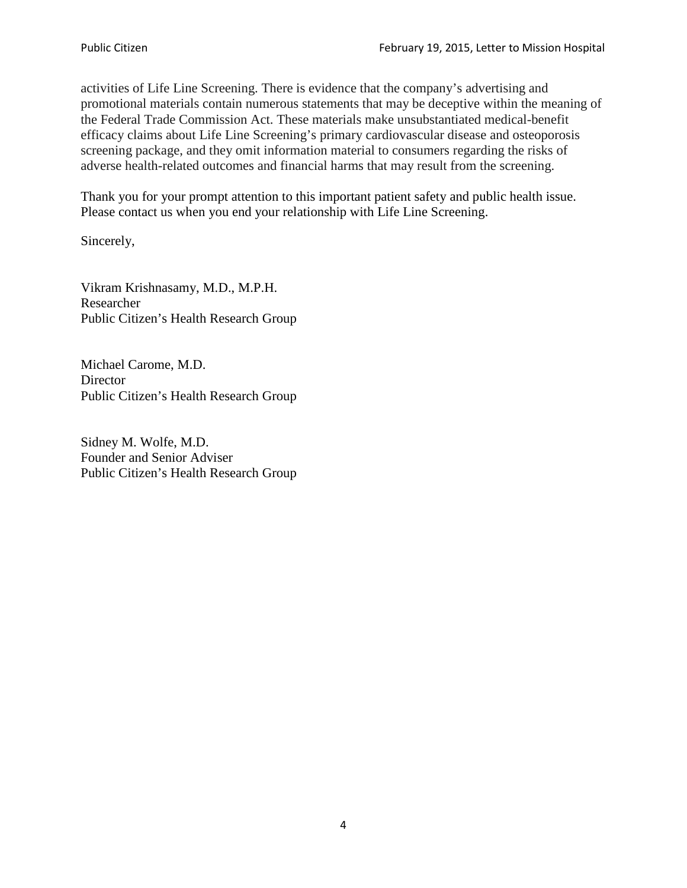activities of Life Line Screening. There is evidence that the company's advertising and promotional materials contain numerous statements that may be deceptive within the meaning of the Federal Trade Commission Act. These materials make unsubstantiated medical-benefit efficacy claims about Life Line Screening's primary cardiovascular disease and osteoporosis screening package, and they omit information material to consumers regarding the risks of adverse health-related outcomes and financial harms that may result from the screening.

Thank you for your prompt attention to this important patient safety and public health issue. Please contact us when you end your relationship with Life Line Screening.

Sincerely,

Vikram Krishnasamy, M.D., M.P.H. Researcher Public Citizen's Health Research Group

Michael Carome, M.D. **Director** Public Citizen's Health Research Group

Sidney M. Wolfe, M.D. Founder and Senior Adviser Public Citizen's Health Research Group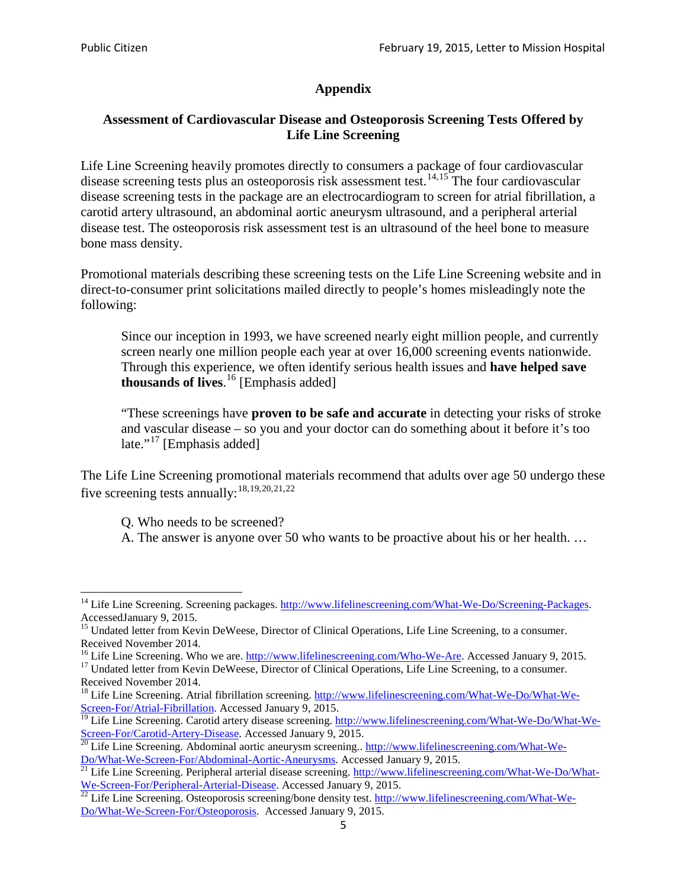## **Appendix**

### **Assessment of Cardiovascular Disease and Osteoporosis Screening Tests Offered by Life Line Screening**

Life Line Screening heavily promotes directly to consumers a package of four cardiovascular disease screening tests plus an osteoporosis risk assessment test.<sup>[14](#page-4-0),[15](#page-4-1)</sup> The four cardiovascular disease screening tests in the package are an electrocardiogram to screen for atrial fibrillation, a carotid artery ultrasound, an abdominal aortic aneurysm ultrasound, and a peripheral arterial disease test. The osteoporosis risk assessment test is an ultrasound of the heel bone to measure bone mass density.

Promotional materials describing these screening tests on the Life Line Screening website and in direct-to-consumer print solicitations mailed directly to people's homes misleadingly note the following:

Since our inception in 1993, we have screened nearly eight million people, and currently screen nearly one million people each year at over 16,000 screening events nationwide. Through this experience, we often identify serious health issues and **have helped save thousands of lives**. [16](#page-4-2) [Emphasis added]

"These screenings have **proven to be safe and accurate** in detecting your risks of stroke and vascular disease – so you and your doctor can do something about it before it's too late."<sup>[17](#page-4-3)</sup> [Emphasis added]

The Life Line Screening promotional materials recommend that adults over age 50 undergo these five screening tests annually:<sup>[18](#page-4-4),[19,](#page-4-5)[20,](#page-4-6)[21](#page-4-7),[22](#page-4-8)</sup>

Q. Who needs to be screened?

A. The answer is anyone over 50 who wants to be proactive about his or her health. …

<span id="page-4-0"></span><sup>&</sup>lt;sup>14</sup> Life Line Screening. Screening packages. [http://www.lifelinescreening.com/What-We-Do/Screening-Packages.](http://www.lifelinescreening.com/What-We-Do/Screening-Packages) AccessedJanuary 9, 2015.

<span id="page-4-1"></span><sup>&</sup>lt;sup>15</sup> Undated letter from Kevin DeWeese, Director of Clinical Operations, Life Line Screening, to a consumer.

Received November 2014.<br><sup>16</sup> Life Line Screening. Who we are. http://www.lifelinescreening.com/Who-We-Are. Accessed January 9, 2015.

<span id="page-4-3"></span><span id="page-4-2"></span><sup>&</sup>lt;sup>17</sup> Undated letter from Kevin DeWeese, Director of Clinical Operations, Life Line Screening, to a consumer. Received November 2014.

<span id="page-4-4"></span><sup>&</sup>lt;sup>18</sup> Life Line Screening. Atrial fibrillation screening. [http://www.lifelinescreening.com/What-We-Do/What-We-](http://www.lifelinescreening.com/What-We-Do/What-We-Screen-For/Atrial-Fibrillation)[Screen-For/Atrial-Fibrillation.](http://www.lifelinescreening.com/What-We-Do/What-We-Screen-For/Atrial-Fibrillation) Accessed January 9, 2015.

<sup>&</sup>lt;sup>19</sup> Life Line Screening. Carotid artery disease screening. [http://www.lifelinescreening.com/What-We-Do/What-We-](http://www.lifelinescreening.com/What-We-Do/What-We-Screen-For/Carotid-Artery-Disease)

<span id="page-4-6"></span><span id="page-4-5"></span>[Screen-For/Carotid-Artery-Disease.](http://www.lifelinescreening.com/What-We-Do/What-We-Screen-For/Carotid-Artery-Disease) Accessed January 9, 2015.<br><sup>20</sup> Life Line Screening. Abdominal aortic aneurysm screening.. http://www.lifelinescreening.com/What-We-Do/What-We-Do/What-We-Screen-For/Abdominal-Aortic-Aneury

<span id="page-4-7"></span><sup>&</sup>lt;sup>21</sup> Life Line Screening. Peripheral arterial disease screening. [http://www.lifelinescreening.com/What-We-Do/What-](http://www.lifelinescreening.com/What-We-Do/What-We-Screen-For/Peripheral-Arterial-Disease)

<span id="page-4-8"></span>[We-Screen-For/Peripheral-Arterial-Disease.](http://www.lifelinescreening.com/What-We-Do/What-We-Screen-For/Peripheral-Arterial-Disease) Accessed January 9, 2015.<br><sup>22</sup> Life Line Screening. Osteoporosis screening/bone density test. [http://www.lifelinescreening.com/What-We-](http://www.lifelinescreening.com/What-We-Do/What-We-Screen-For/Osteoporosis)[Do/What-We-Screen-For/Osteoporosis.](http://www.lifelinescreening.com/What-We-Do/What-We-Screen-For/Osteoporosis) Accessed January 9, 2015.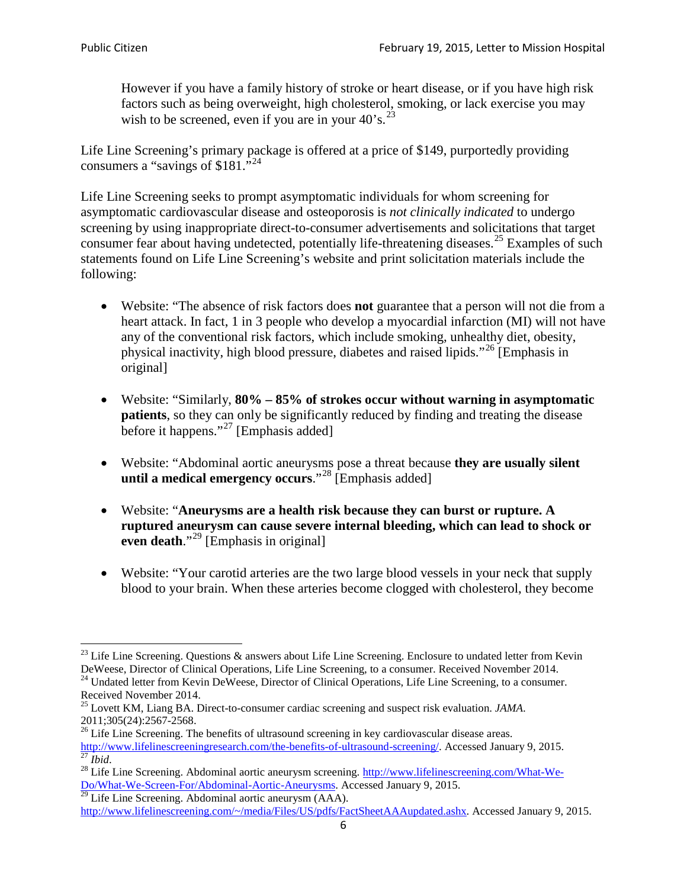However if you have a family history of stroke or heart disease, or if you have high risk factors such as being overweight, high cholesterol, smoking, or lack exercise you may wish to be screened, even if you are in your  $40^\circ$ s.<sup>[23](#page-5-0)</sup>

Life Line Screening's primary package is offered at a price of \$149, purportedly providing consumers a "savings of \$181."<sup>[24](#page-5-1)</sup>

Life Line Screening seeks to prompt asymptomatic individuals for whom screening for asymptomatic cardiovascular disease and osteoporosis is *not clinically indicated* to undergo screening by using inappropriate direct-to-consumer advertisements and solicitations that target consumer fear about having undetected, potentially life-threatening diseases.<sup>[25](#page-5-2)</sup> Examples of such statements found on Life Line Screening's website and print solicitation materials include the following:

- Website: "The absence of risk factors does **not** guarantee that a person will not die from a heart attack. In fact, 1 in 3 people who develop a myocardial infarction (MI) will not have any of the conventional risk factors, which include smoking, unhealthy diet, obesity, physical inactivity, high blood pressure, diabetes and raised lipids."[26](#page-5-3) [Emphasis in original]
- Website: "Similarly, **80% – 85% of strokes occur without warning in asymptomatic patients**, so they can only be significantly reduced by finding and treating the disease before it happens."<sup>[27](#page-5-4)</sup> [Emphasis added]
- Website: "Abdominal aortic aneurysms pose a threat because **they are usually silent until a medical emergency occurs**."[28](#page-5-5) [Emphasis added]
- Website: "**Aneurysms are a health risk because they can burst or rupture. A ruptured aneurysm can cause severe internal bleeding, which can lead to shock or even death.**"<sup>[29](#page-5-6)</sup> [Emphasis in original]
- Website: "Your carotid arteries are the two large blood vessels in your neck that supply blood to your brain. When these arteries become clogged with cholesterol, they become

<span id="page-5-0"></span><sup>&</sup>lt;sup>23</sup> Life Line Screening. Questions  $\&$  answers about Life Line Screening. Enclosure to undated letter from Kevin DeWeese, Director of Clinical Operations, Life Line Screening, to a consumer. Received November 2014.

<span id="page-5-1"></span><sup>&</sup>lt;sup>24</sup> Undated letter from Kevin DeWeese, Director of Clinical Operations, Life Line Screening, to a consumer. Received November 2014.

<span id="page-5-2"></span><sup>25</sup> Lovett KM, Liang BA. Direct-to-consumer cardiac screening and suspect risk evaluation. *JAMA*.  $2011;305(24):2567-2568$ .<br><sup>26</sup> Life Line Screening. The benefits of ultrasound screening in key cardiovascular disease areas.

<span id="page-5-3"></span>[http://www.lifelinescreeningresearch.com/the-benefits-of-ultrasound-screening/.](http://www.lifelinescreeningresearch.com/the-benefits-of-ultrasound-screening/) Accessed January 9, 2015.<br><sup>28</sup> Life Line Screening. Abdominal aortic aneurysm screening. http://www.lifelinescreening.com/What-We-<br><sup>28</sup> Life L

<span id="page-5-5"></span><span id="page-5-4"></span>[Do/What-We-Screen-For/Abdominal-Aortic-Aneurysms.](http://www.lifelinescreening.com/What-We-Do/What-We-Screen-For/Abdominal-Aortic-Aneurysms) Accessed January 9, 2015. <sup>29</sup> Life Line Screening. Abdominal aortic aneurysm (AAA).

<span id="page-5-6"></span>[http://www.lifelinescreening.com/~/media/Files/US/pdfs/FactSheetAAAupdated.ashx.](http://www.lifelinescreening.com/~/media/Files/US/pdfs/FactSheetAAAupdated.ashx) Accessed January 9, 2015.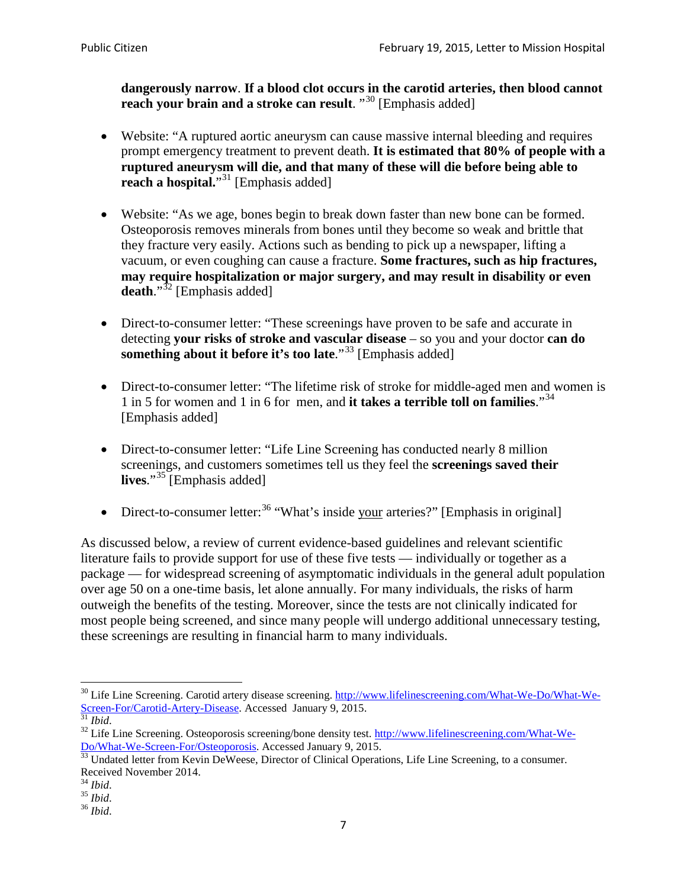**dangerously narrow**. **If a blood clot occurs in the carotid arteries, then blood cannot reach your brain and a stroke can result**. "<sup>[30](#page-6-0)</sup> [Emphasis added]

- Website: "A ruptured aortic aneurysm can cause massive internal bleeding and requires prompt emergency treatment to prevent death. **It is estimated that 80% of people with a ruptured aneurysm will die, and that many of these will die before being able to reach a hospital.**"<sup>[31](#page-6-1)</sup> [Emphasis added]
- Website: "As we age, bones begin to break down faster than new bone can be formed. Osteoporosis removes minerals from bones until they become so weak and brittle that they fracture very easily. Actions such as bending to pick up a newspaper, lifting a vacuum, or even coughing can cause a fracture. **Some fractures, such as hip fractures, may require hospitalization or major surgery, and may result in disability or even**  death."<sup>[32](#page-6-2)</sup> [Emphasis added]
- Direct-to-consumer letter: "These screenings have proven to be safe and accurate in detecting **your risks of stroke and vascular disease** – so you and your doctor **can do something about it before it's too late**."<sup>[33](#page-6-3)</sup> [Emphasis added]
- Direct-to-consumer letter: "The lifetime risk of stroke for middle-aged men and women is 1 in 5 for women and 1 in 6 for men, and **it takes a terrible toll on families**."[34](#page-6-4) [Emphasis added]
- Direct-to-consumer letter: "Life Line Screening has conducted nearly 8 million screenings, and customers sometimes tell us they feel the **screenings saved their lives**."[35](#page-6-5) [Emphasis added]
- Direct-to-consumer letter:  $36$  "What's inside your arteries?" [Emphasis in original]

As discussed below, a review of current evidence-based guidelines and relevant scientific literature fails to provide support for use of these five tests — individually or together as a package — for widespread screening of asymptomatic individuals in the general adult population over age 50 on a one-time basis, let alone annually. For many individuals, the risks of harm outweigh the benefits of the testing. Moreover, since the tests are not clinically indicated for most people being screened, and since many people will undergo additional unnecessary testing, these screenings are resulting in financial harm to many individuals.

<span id="page-6-0"></span><sup>&</sup>lt;sup>30</sup> Life Line Screening. Carotid artery disease screening. [http://www.lifelinescreening.com/What-We-Do/What-We-](http://www.lifelinescreening.com/What-We-Do/What-We-Screen-For/Carotid-Artery-Disease)[Screen-For/Carotid-Artery-Disease.](http://www.lifelinescreening.com/What-We-Do/What-We-Screen-For/Carotid-Artery-Disease) Accessed January 9, 2015.<br><sup>31</sup> *Ibid.* 32 Life Line Screening. Osteoporosis screening/bone density test. [http://www.lifelinescreening.com/What-We-](http://www.lifelinescreening.com/What-We-Do/What-We-Screen-For/Osteoporosis)

<span id="page-6-2"></span><span id="page-6-1"></span>[Do/What-We-Screen-For/Osteoporosis.](http://www.lifelinescreening.com/What-We-Do/What-We-Screen-For/Osteoporosis) Accessed January 9, 2015. <sup>33</sup> Undated letter from Kevin DeWeese, Director of Clinical Operations, Life Line Screening, to a consumer.

<span id="page-6-3"></span>Received November 2014.<br><sup>34</sup> Ibid.

<span id="page-6-4"></span>

<span id="page-6-5"></span><sup>34</sup> *Ibid*. 35 *Ibid*. 36 *Ibid*.

<span id="page-6-6"></span>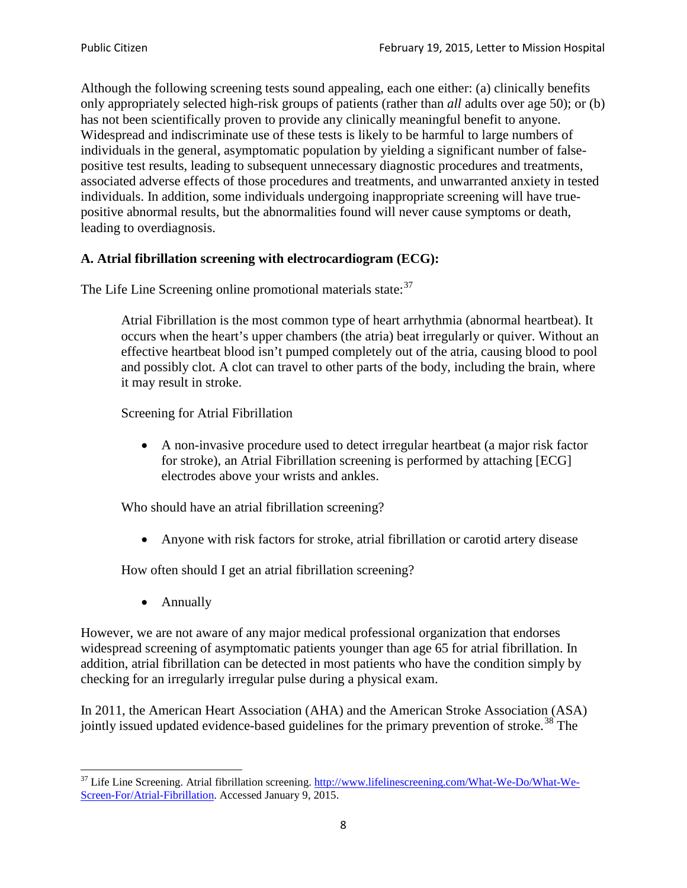Although the following screening tests sound appealing, each one either: (a) clinically benefits only appropriately selected high-risk groups of patients (rather than *all* adults over age 50); or (b) has not been scientifically proven to provide any clinically meaningful benefit to anyone. Widespread and indiscriminate use of these tests is likely to be harmful to large numbers of individuals in the general, asymptomatic population by yielding a significant number of falsepositive test results, leading to subsequent unnecessary diagnostic procedures and treatments, associated adverse effects of those procedures and treatments, and unwarranted anxiety in tested individuals. In addition, some individuals undergoing inappropriate screening will have truepositive abnormal results, but the abnormalities found will never cause symptoms or death, leading to overdiagnosis.

## **A. Atrial fibrillation screening with electrocardiogram (ECG):**

The Life Line Screening online promotional materials state:<sup>[37](#page-7-0)</sup>

Atrial Fibrillation is the most common type of heart arrhythmia (abnormal heartbeat). It occurs when the heart's upper chambers (the atria) beat irregularly or quiver. Without an effective heartbeat blood isn't pumped completely out of the atria, causing blood to pool and possibly clot. A clot can travel to other parts of the body, including the brain, where it may result in stroke.

Screening for Atrial Fibrillation

• A non-invasive procedure used to detect irregular heartbeat (a major risk factor for stroke), an Atrial Fibrillation screening is performed by attaching [ECG] electrodes above your wrists and ankles.

Who should have an atrial fibrillation screening?

• Anyone with risk factors for stroke, atrial fibrillation or carotid artery disease

How often should I get an atrial fibrillation screening?

• Annually

<span id="page-7-1"></span>However, we are not aware of any major medical professional organization that endorses widespread screening of asymptomatic patients younger than age 65 for atrial fibrillation. In addition, atrial fibrillation can be detected in most patients who have the condition simply by checking for an irregularly irregular pulse during a physical exam.

In 2011, the American Heart Association (AHA) and the American Stroke Association (ASA) jointly issued updated evidence-based guidelines for the primary prevention of stroke.<sup>[38](#page-7-1)</sup> The

<span id="page-7-0"></span><sup>&</sup>lt;sup>37</sup> Life Line Screening. Atrial fibrillation screening. [http://www.lifelinescreening.com/What-We-Do/What-We-](http://www.lifelinescreening.com/What-We-Do/What-We-Screen-For/Atrial-Fibrillation)[Screen-For/Atrial-Fibrillation.](http://www.lifelinescreening.com/What-We-Do/What-We-Screen-For/Atrial-Fibrillation) Accessed January 9, 2015.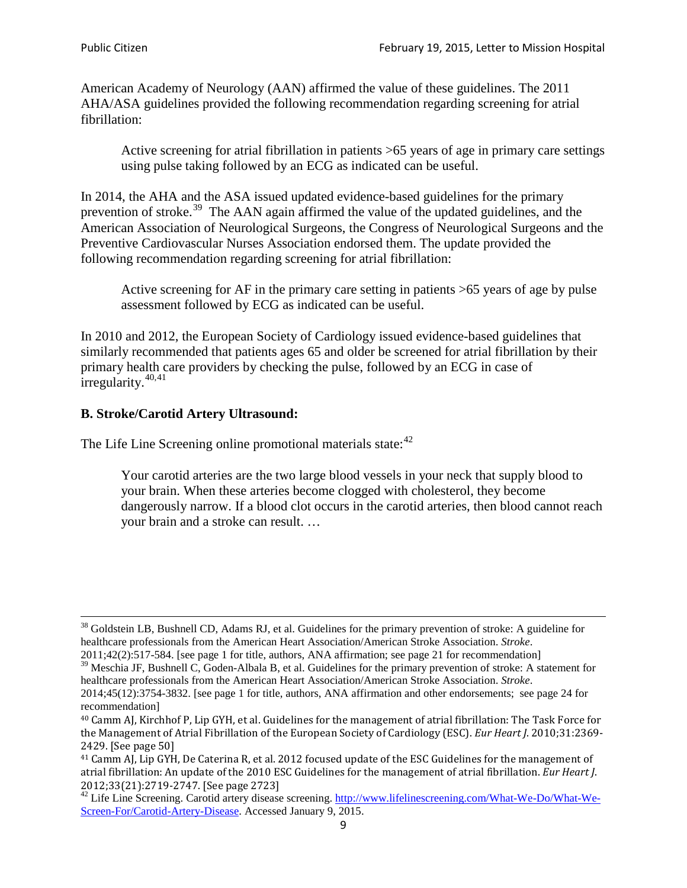American Academy of Neurology (AAN) affirmed the value of these guidelines. The 2011 AHA/ASA guidelines provided the following recommendation regarding screening for atrial fibrillation:

Active screening for atrial fibrillation in patients >65 years of age in primary care settings using pulse taking followed by an ECG as indicated can be useful.

In 2014, the AHA and the ASA issued updated evidence-based guidelines for the primary prevention of stroke.<sup>[39](#page-8-0)</sup> The AAN again affirmed the value of the updated guidelines, and the American Association of Neurological Surgeons, the Congress of Neurological Surgeons and the Preventive Cardiovascular Nurses Association endorsed them. The update provided the following recommendation regarding screening for atrial fibrillation:

Active screening for AF in the primary care setting in patients >65 years of age by pulse assessment followed by ECG as indicated can be useful.

In 2010 and 2012, the European Society of Cardiology issued evidence-based guidelines that similarly recommended that patients ages 65 and older be screened for atrial fibrillation by their primary health care providers by checking the pulse, followed by an ECG in case of irregularity. $40,41$  $40,41$ 

# **B. Stroke/Carotid Artery Ultrasound:**

The Life Line Screening online promotional materials state:<sup>[42](#page-8-3)</sup>

Your carotid arteries are the two large blood vessels in your neck that supply blood to your brain. When these arteries become clogged with cholesterol, they become dangerously narrow. If a blood clot occurs in the carotid arteries, then blood cannot reach your brain and a stroke can result. …

<sup>&</sup>lt;sup>38</sup> Goldstein LB, Bushnell CD, Adams RJ, et al. Guidelines for the primary prevention of stroke: A guideline for healthcare professionals from the American Heart Association/American Stroke Association. *Stroke*.

<sup>2011;42(2):517-584.</sup> [see page 1 for title, authors, ANA affirmation; see page 21 for recommendation]

<span id="page-8-0"></span> $\frac{2011,42(2)(317,601)}{39}$  Meschia JF, Bushnell C, Goden-Albala B, et al. Guidelines for the primary prevention of stroke: A statement for healthcare professionals from the American Heart Association/American Stroke Association. *Stroke*.

<sup>2014;45(12):3754-3832.</sup> [see page 1 for title, authors, ANA affirmation and other endorsements; see page 24 for recommendation]

<span id="page-8-1"></span><sup>40</sup> Camm AJ, Kirchhof P, Lip GYH, et al. Guidelines for the management of atrial fibrillation: The Task Force for the Management of Atrial Fibrillation of the European Society of Cardiology (ESC). *Eur Heart J*. 2010;31:2369- 2429. [See page 50]

<span id="page-8-2"></span><sup>41</sup> Camm AJ, Lip GYH, De Caterina R, et al. 2012 focused update of the ESC Guidelines for the management of atrial fibrillation: An update of the 2010 ESC Guidelines for the management of atrial fibrillation. *Eur Heart J*.

<span id="page-8-3"></span><sup>&</sup>lt;sup>2012</sup>;23(21):2719-2747. [See page 273] 42 Life Line Screening. [http://www.lifelinescreening.com/What-We-Do/What-We-](http://www.lifelinescreening.com/What-We-Do/What-We-Screen-For/Carotid-Artery-Disease)[Screen-For/Carotid-Artery-Disease.](http://www.lifelinescreening.com/What-We-Do/What-We-Screen-For/Carotid-Artery-Disease) Accessed January 9, 2015.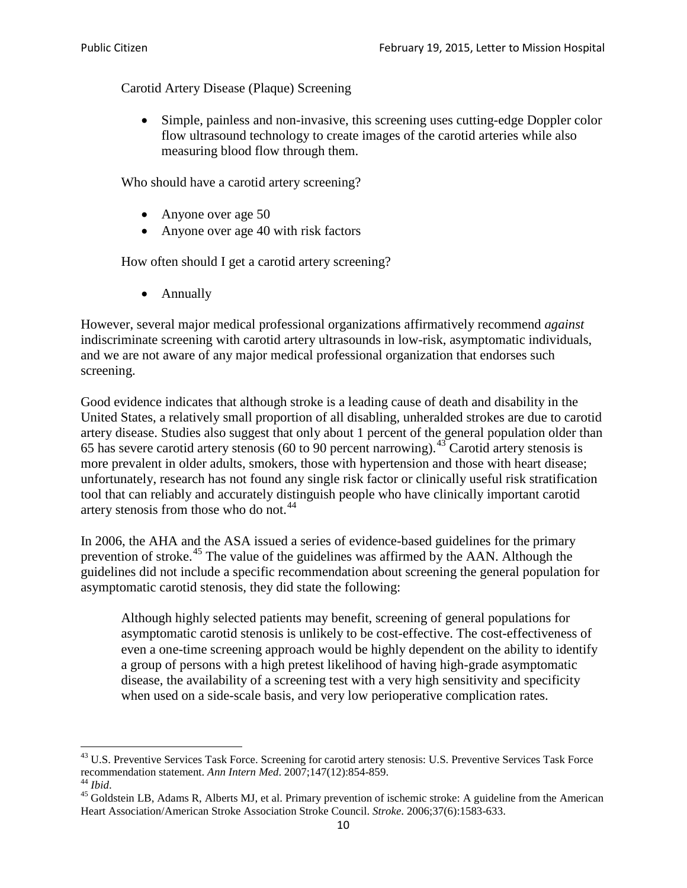Carotid Artery Disease (Plaque) Screening

• Simple, painless and non-invasive, this screening uses cutting-edge Doppler color flow ultrasound technology to create images of the carotid arteries while also measuring blood flow through them.

Who should have a carotid artery screening?

- Anyone over age 50
- Anyone over age 40 with risk factors

How often should I get a carotid artery screening?

• Annually

However, several major medical professional organizations affirmatively recommend *against* indiscriminate screening with carotid artery ultrasounds in low-risk, asymptomatic individuals, and we are not aware of any major medical professional organization that endorses such screening.

Good evidence indicates that although stroke is a leading cause of death and disability in the United States, a relatively small proportion of all disabling, unheralded strokes are due to carotid artery disease. Studies also suggest that only about 1 percent of the general population older than 65 has severe carotid artery stenosis (60 to 90 percent narrowing).<sup>[43](#page-9-0)</sup> Carotid artery stenosis is more prevalent in older adults, smokers, those with hypertension and those with heart disease; unfortunately, research has not found any single risk factor or clinically useful risk stratification tool that can reliably and accurately distinguish people who have clinically important carotid artery stenosis from those who do not.<sup>[44](#page-9-1)</sup>

In 2006, the AHA and the ASA issued a series of evidence-based guidelines for the primary prevention of stroke.<sup>[45](#page-9-2)</sup> The value of the guidelines was affirmed by the AAN. Although the guidelines did not include a specific recommendation about screening the general population for asymptomatic carotid stenosis, they did state the following:

Although highly selected patients may benefit, screening of general populations for asymptomatic carotid stenosis is unlikely to be cost-effective. The cost-effectiveness of even a one-time screening approach would be highly dependent on the ability to identify a group of persons with a high pretest likelihood of having high-grade asymptomatic disease, the availability of a screening test with a very high sensitivity and specificity when used on a side-scale basis, and very low perioperative complication rates.

<span id="page-9-0"></span> $^{43}$  U.S. Preventive Services Task Force. Screening for carotid artery stenosis: U.S. Preventive Services Task Force recommendation statement. Ann Intern Med. 2007;147(12):854-859.

<span id="page-9-2"></span><span id="page-9-1"></span><sup>&</sup>lt;sup>44</sup> *Ibid*. <sup>45</sup> Goldstein LB, Adams R, Alberts MJ, et al. Primary prevention of ischemic stroke: A guideline from the American <sup>45</sup> Goldstein LB, Adams R, Alberts MJ, et al. Primary prevention of ischemic stroke: A guide Heart Association/American Stroke Association Stroke Council. *Stroke*. 2006;37(6):1583-633.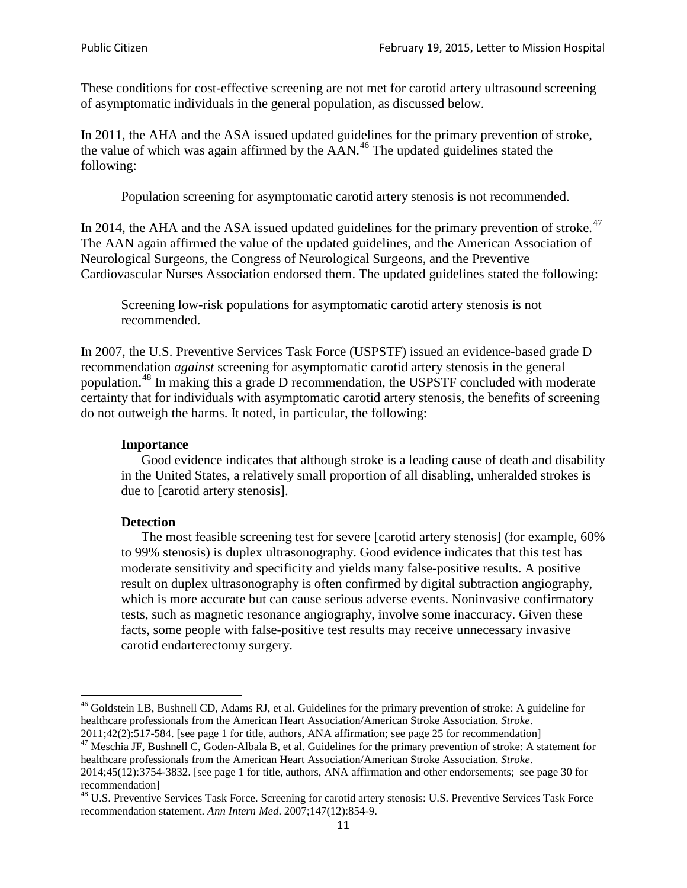These conditions for cost-effective screening are not met for carotid artery ultrasound screening of asymptomatic individuals in the general population, as discussed below.

In 2011, the AHA and the ASA issued updated guidelines for the primary prevention of stroke, the value of which was again affirmed by the  $AAN<sup>46</sup>$  $AAN<sup>46</sup>$  $AAN<sup>46</sup>$ . The updated guidelines stated the following:

Population screening for asymptomatic carotid artery stenosis is not recommended.

In 2014, the AHA and the ASA issued updated guidelines for the primary prevention of stroke.<sup>47</sup> The AAN again affirmed the value of the updated guidelines, and the American Association of Neurological Surgeons, the Congress of Neurological Surgeons, and the Preventive Cardiovascular Nurses Association endorsed them. The updated guidelines stated the following:

Screening low-risk populations for asymptomatic carotid artery stenosis is not recommended.

In 2007, the U.S. Preventive Services Task Force (USPSTF) issued an evidence-based grade D recommendation *against* screening for asymptomatic carotid artery stenosis in the general population.[48](#page-10-2) In making this a grade D recommendation, the USPSTF concluded with moderate certainty that for individuals with asymptomatic carotid artery stenosis, the benefits of screening do not outweigh the harms. It noted, in particular, the following:

#### **Importance**

Good evidence indicates that although stroke is a leading cause of death and disability in the United States, a relatively small proportion of all disabling, unheralded strokes is due to [carotid artery stenosis].

#### **Detection**

The most feasible screening test for severe [carotid artery stenosis] (for example, 60% to 99% stenosis) is duplex ultrasonography. Good evidence indicates that this test has moderate sensitivity and specificity and yields many false-positive results. A positive result on duplex ultrasonography is often confirmed by digital subtraction angiography, which is more accurate but can cause serious adverse events. Noninvasive confirmatory tests, such as magnetic resonance angiography, involve some inaccuracy. Given these facts, some people with false-positive test results may receive unnecessary invasive carotid endarterectomy surgery.

<span id="page-10-0"></span><sup>&</sup>lt;sup>46</sup> Goldstein LB, Bushnell CD, Adams RJ, et al. Guidelines for the primary prevention of stroke: A guideline for healthcare professionals from the American Heart Association/American Stroke Association. *Stroke*.<br>2011;42(2):517-584. [see page 1 for title, authors, ANA affirmation; see page 25 for recommendation]

<span id="page-10-1"></span><sup>&</sup>lt;sup>47</sup> Meschia JF, Bushnell C, Goden-Albala B, et al. Guidelines for the primary prevention of stroke: A statement for healthcare professionals from the American Heart Association/American Stroke Association. *Stroke*. 2014;45(12):3754-3832. [see page 1 for title, authors, ANA affirmation and other endorsements; see page 30 for

recommendation] <sup>48</sup> U.S. Preventive Services Task Force. Screening for carotid artery stenosis: U.S. Preventive Services Task Force

<span id="page-10-2"></span>recommendation statement. *Ann Intern Med*. 2007;147(12):854-9.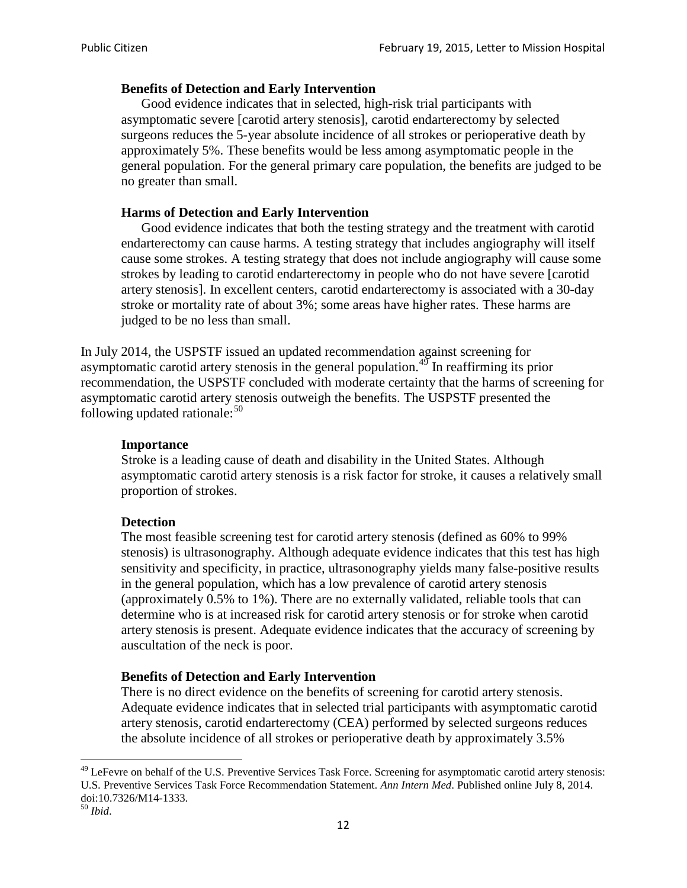### **Benefits of Detection and Early Intervention**

Good evidence indicates that in selected, high-risk trial participants with asymptomatic severe [carotid artery stenosis], carotid endarterectomy by selected surgeons reduces the 5-year absolute incidence of all strokes or perioperative death by approximately 5%. These benefits would be less among asymptomatic people in the general population. For the general primary care population, the benefits are judged to be no greater than small.

### **Harms of Detection and Early Intervention**

Good evidence indicates that both the testing strategy and the treatment with carotid endarterectomy can cause harms. A testing strategy that includes angiography will itself cause some strokes. A testing strategy that does not include angiography will cause some strokes by leading to carotid endarterectomy in people who do not have severe [carotid artery stenosis]. In excellent centers, carotid endarterectomy is associated with a 30-day stroke or mortality rate of about 3%; some areas have higher rates. These harms are judged to be no less than small.

In July 2014, the USPSTF issued an updated recommendation against screening for asymptomatic carotid artery stenosis in the general population.<sup>[49](#page-11-0)</sup> In reaffirming its prior recommendation, the USPSTF concluded with moderate certainty that the harms of screening for asymptomatic carotid artery stenosis outweigh the benefits. The USPSTF presented the following updated rationale: $50$ 

#### **Importance**

Stroke is a leading cause of death and disability in the United States. Although asymptomatic carotid artery stenosis is a risk factor for stroke, it causes a relatively small proportion of strokes.

#### **Detection**

The most feasible screening test for carotid artery stenosis (defined as 60% to 99% stenosis) is ultrasonography. Although adequate evidence indicates that this test has high sensitivity and specificity, in practice, ultrasonography yields many false-positive results in the general population, which has a low prevalence of carotid artery stenosis (approximately 0.5% to 1%). There are no externally validated, reliable tools that can determine who is at increased risk for carotid artery stenosis or for stroke when carotid artery stenosis is present. Adequate evidence indicates that the accuracy of screening by auscultation of the neck is poor.

## **Benefits of Detection and Early Intervention**

There is no direct evidence on the benefits of screening for carotid artery stenosis. Adequate evidence indicates that in selected trial participants with asymptomatic carotid artery stenosis, carotid endarterectomy (CEA) performed by selected surgeons reduces the absolute incidence of all strokes or perioperative death by approximately 3.5%

<span id="page-11-0"></span><sup>&</sup>lt;sup>49</sup> LeFevre on behalf of the U.S. Preventive Services Task Force. Screening for asymptomatic carotid artery stenosis: U.S. Preventive Services Task Force Recommendation Statement. *Ann Intern Med*. Published online July 8, 2014. doi:10.7326/M14-1333. <sup>50</sup> *Ibid*.

<span id="page-11-1"></span>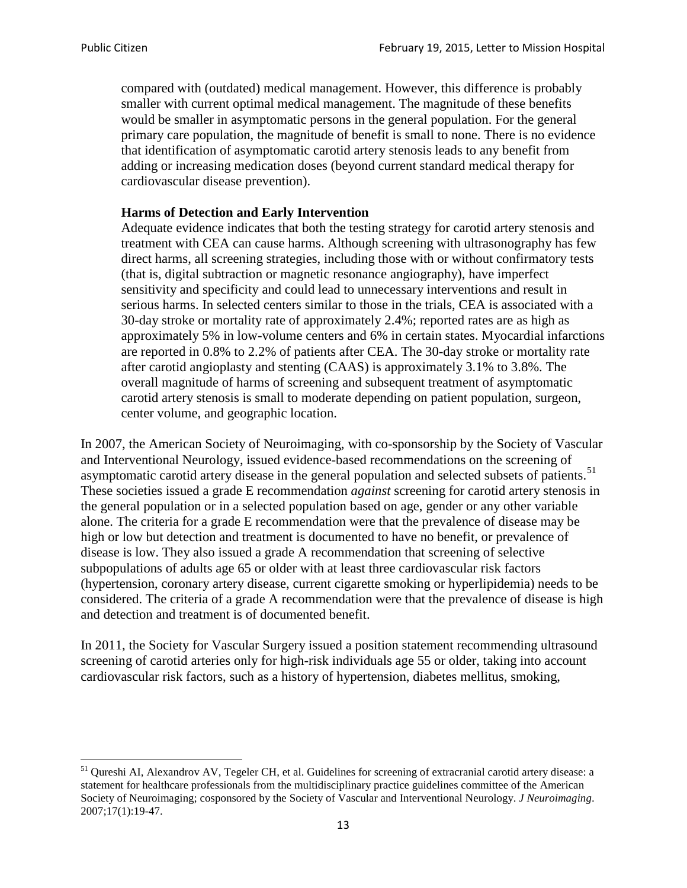compared with (outdated) medical management. However, this difference is probably smaller with current optimal medical management. The magnitude of these benefits would be smaller in asymptomatic persons in the general population. For the general primary care population, the magnitude of benefit is small to none. There is no evidence that identification of asymptomatic carotid artery stenosis leads to any benefit from adding or increasing medication doses (beyond current standard medical therapy for cardiovascular disease prevention).

#### **Harms of Detection and Early Intervention**

Adequate evidence indicates that both the testing strategy for carotid artery stenosis and treatment with CEA can cause harms. Although screening with ultrasonography has few direct harms, all screening strategies, including those with or without confirmatory tests (that is, digital subtraction or magnetic resonance angiography), have imperfect sensitivity and specificity and could lead to unnecessary interventions and result in serious harms. In selected centers similar to those in the trials, CEA is associated with a 30-day stroke or mortality rate of approximately 2.4%; reported rates are as high as approximately 5% in low-volume centers and 6% in certain states. Myocardial infarctions are reported in 0.8% to 2.2% of patients after CEA. The 30-day stroke or mortality rate after carotid angioplasty and stenting (CAAS) is approximately 3.1% to 3.8%. The overall magnitude of harms of screening and subsequent treatment of asymptomatic carotid artery stenosis is small to moderate depending on patient population, surgeon, center volume, and geographic location.

In 2007, the American Society of Neuroimaging, with co-sponsorship by the Society of Vascular and Interventional Neurology, issued evidence-based recommendations on the screening of asymptomatic carotid artery disease in the general population and selected subsets of patients.<sup>[51](#page-12-0)</sup> These societies issued a grade E recommendation *against* screening for carotid artery stenosis in the general population or in a selected population based on age, gender or any other variable alone. The criteria for a grade E recommendation were that the prevalence of disease may be high or low but detection and treatment is documented to have no benefit, or prevalence of disease is low. They also issued a grade A recommendation that screening of selective subpopulations of adults age 65 or older with at least three cardiovascular risk factors (hypertension, coronary artery disease, current cigarette smoking or hyperlipidemia) needs to be considered. The criteria of a grade A recommendation were that the prevalence of disease is high and detection and treatment is of documented benefit.

In 2011, the Society for Vascular Surgery issued a position statement recommending ultrasound screening of carotid arteries only for high-risk individuals age 55 or older, taking into account cardiovascular risk factors, such as a history of hypertension, diabetes mellitus, smoking,

<span id="page-12-0"></span><sup>&</sup>lt;sup>51</sup> Qureshi AI, Alexandrov AV, Tegeler CH, et al. Guidelines for screening of extracranial carotid artery disease: a statement for healthcare professionals from the multidisciplinary practice guidelines committee of the American Society of Neuroimaging; cosponsored by the Society of Vascular and Interventional Neurology. *J Neuroimaging*. 2007;17(1):19-47.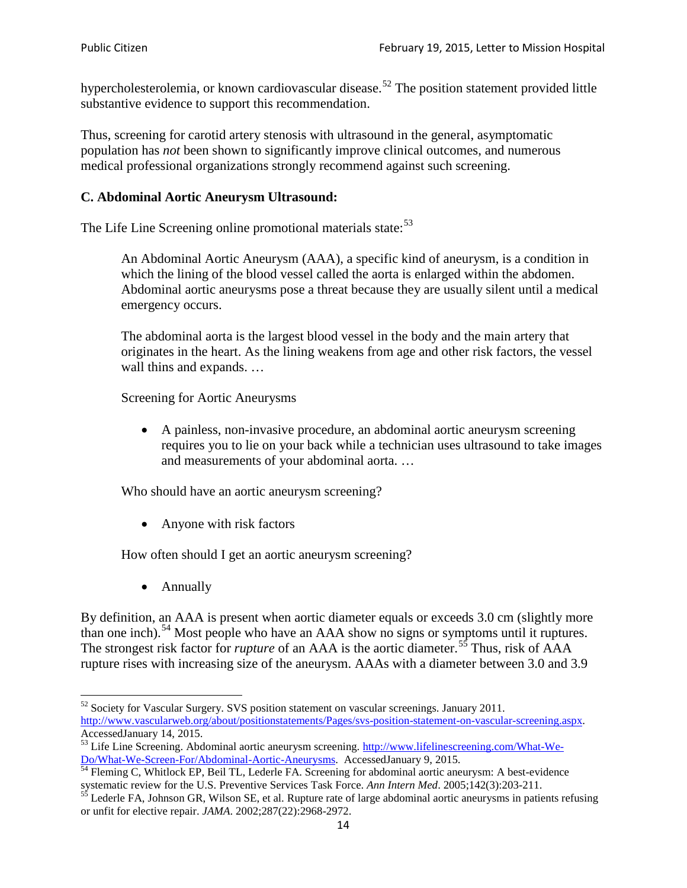hypercholesterolemia, or known cardiovascular disease.<sup>[52](#page-13-0)</sup> The position statement provided little substantive evidence to support this recommendation.

Thus, screening for carotid artery stenosis with ultrasound in the general, asymptomatic population has *not* been shown to significantly improve clinical outcomes, and numerous medical professional organizations strongly recommend against such screening.

### **C. Abdominal Aortic Aneurysm Ultrasound:**

The Life Line Screening online promotional materials state:<sup>[53](#page-13-1)</sup>

An Abdominal Aortic Aneurysm (AAA), a specific kind of aneurysm, is a condition in which the lining of the blood vessel called the aorta is enlarged within the abdomen. Abdominal aortic aneurysms pose a threat because they are usually silent until a medical emergency occurs.

The abdominal aorta is the largest blood vessel in the body and the main artery that originates in the heart. As the lining weakens from age and other risk factors, the vessel wall thins and expands. …

Screening for Aortic Aneurysms

• A painless, non-invasive procedure, an abdominal aortic aneurysm screening requires you to lie on your back while a technician uses ultrasound to take images and measurements of your abdominal aorta. …

Who should have an aortic aneurysm screening?

• Anyone with risk factors

How often should I get an aortic aneurysm screening?

• Annually

By definition, an AAA is present when aortic diameter equals or exceeds 3.0 cm (slightly more than one inch).<sup>[54](#page-13-2)</sup> Most people who have an AAA show no signs or symptoms until it ruptures. The strongest risk factor for *rupture* of an AAA is the aortic diameter.<sup>[55](#page-13-3)</sup> Thus, risk of AAA rupture rises with increasing size of the aneurysm. AAAs with a diameter between 3.0 and 3.9

<span id="page-13-0"></span> $52$  Society for Vascular Surgery. SVS position statement on vascular screenings. January 2011. http://www.vascularweb.org/about/positionstatements/Pages/svs-position-statement-on-vascular-screening.aspx.<br>Accessed January 14, 2015.

<span id="page-13-1"></span>Accessed January 14, 2015.<br>
Sa Life Line Screening. Abdominal aortic aneurysm screening. http://www.lifelinescreening.com/What-We-<br>
Do/What-We-Screen-For/Abdominal-Aortic-Aneurysms. Accessed January 9, 2015.

<span id="page-13-2"></span> $\frac{1}{54}$  Fleming C, Whitlock EP, Beil TL, Lederle FA. Screening for abdominal aortic aneurysm: A best-evidence systematic review for the U.S. Preventive Services Task Force. *Ann Intern Med.* 2005;142(3):203-211.<br><sup>55</sup> Lederle FA, Johnson GR, Wilson SE, et al. Rupture rate of large abdominal aortic aneurysms in patients refusing

<span id="page-13-3"></span>or unfit for elective repair. *JAMA*. 2002;287(22):2968-2972.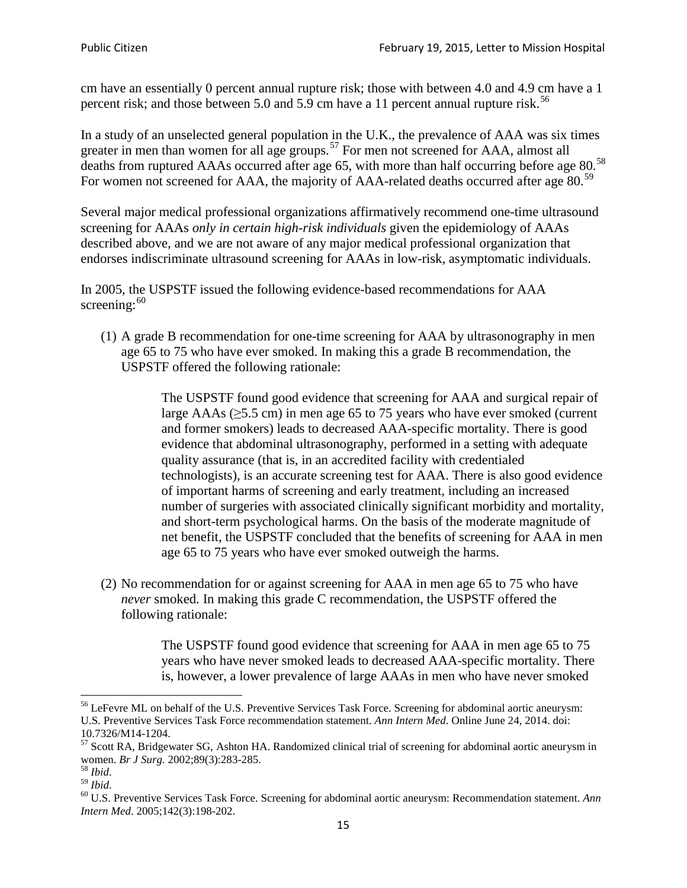cm have an essentially 0 percent annual rupture risk; those with between 4.0 and 4.9 cm have a 1 percent risk; and those between 5.0 and 5.9 cm have a 11 percent annual rupture risk.<sup>[56](#page-14-0)</sup>

In a study of an unselected general population in the U.K., the prevalence of AAA was six times greater in men than women for all age groups.<sup>[57](#page-14-1)</sup> For men not screened for  $AAA$ , almost all deaths from ruptured AAAs occurred after age 65, with more than half occurring before age 80.<sup>[58](#page-14-2)</sup> For women not screened for AAA, the majority of AAA-related deaths occurred after age 80.<sup>[59](#page-14-3)</sup>

Several major medical professional organizations affirmatively recommend one-time ultrasound screening for AAAs *only in certain high-risk individuals* given the epidemiology of AAAs described above, and we are not aware of any major medical professional organization that endorses indiscriminate ultrasound screening for AAAs in low-risk, asymptomatic individuals.

In 2005, the USPSTF issued the following evidence-based recommendations for AAA screening: $60$ 

(1) A grade B recommendation for one-time screening for AAA by ultrasonography in men age 65 to 75 who have ever smoked. In making this a grade [B recommendation,](http://www.uspreventiveservicestaskforce.org/uspstf/gradespre.htm#brec) the USPSTF offered the following rationale:

> The USPSTF found good evidence that screening for AAA and surgical repair of large AAAs ( $\geq$ 5.5 cm) in men age 65 to 75 years who have ever smoked (current and former smokers) leads to decreased AAA-specific mortality. There is good evidence that abdominal ultrasonography, performed in a setting with adequate quality assurance (that is, in an accredited facility with credentialed technologists), is an accurate screening test for AAA. There is also good evidence of important harms of screening and early treatment, including an increased number of surgeries with associated clinically significant morbidity and mortality, and short-term psychological harms. On the basis of the moderate magnitude of net benefit, the USPSTF concluded that the benefits of screening for AAA in men age 65 to 75 years who have ever smoked outweigh the harms.

(2) No recommendation for or against screening for AAA in men age 65 to 75 who have *never* smoked. In making this grade C recommendation, the USPSTF offered the following rationale:

> The USPSTF found good evidence that screening for AAA in men age 65 to 75 years who have never smoked leads to decreased AAA-specific mortality. There is, however, a lower prevalence of large AAAs in men who have never smoked

<span id="page-14-0"></span><sup>&</sup>lt;sup>56</sup> LeFevre ML on behalf of the U.S. Preventive Services Task Force. Screening for abdominal aortic aneurysm: U.S. Preventive Services Task Force recommendation statement. *Ann Intern Med*. Online June 24, 2014. doi:

<span id="page-14-1"></span><sup>10.7326/</sup>M14-1204.<br> $57$  Scott RA, Bridgewater SG, Ashton HA. Randomized clinical trial of screening for abdominal aortic aneurysm in women. *Br J Surg.* 2002;89(3):283-285.

<span id="page-14-4"></span><span id="page-14-3"></span>

<span id="page-14-2"></span><sup>&</sup>lt;sup>58</sup> *Ibid.*<br><sup>59</sup> *Ibid.* 2002;<br><sup>60</sup> U.S. Preventive Services Task Force. Screening for abdominal aortic aneurysm: Recommendation statement. *Ann Intern Med*. 2005;142(3):198-202.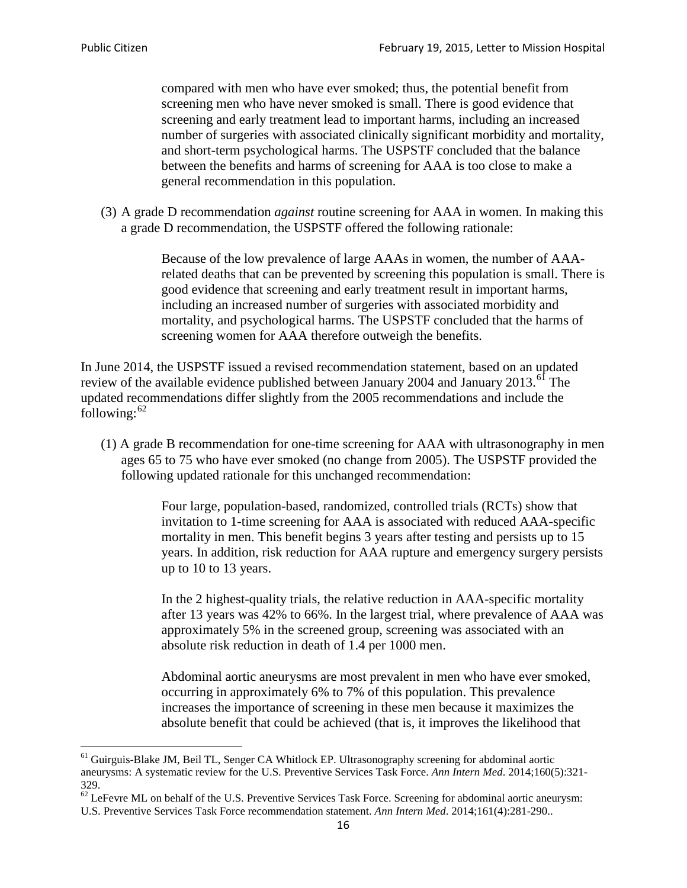compared with men who have ever smoked; thus, the potential benefit from screening men who have never smoked is small. There is good evidence that screening and early treatment lead to important harms, including an increased number of surgeries with associated clinically significant morbidity and mortality, and short-term psychological harms. The USPSTF concluded that the balance between the benefits and harms of screening for AAA is too close to make a general recommendation in this population.

(3) A grade D recommendation *against* routine screening for AAA in women. In making this a grade D recommendation, the USPSTF offered the following rationale:

> Because of the low prevalence of large AAAs in women, the number of AAArelated deaths that can be prevented by screening this population is small. There is good evidence that screening and early treatment result in important harms, including an increased number of surgeries with associated morbidity and mortality, and psychological harms. The USPSTF concluded that the harms of screening women for AAA therefore outweigh the benefits.

In June 2014, the USPSTF issued a revised recommendation statement, based on an updated review of the available evidence published between January 2004 and January 2013.<sup>[61](#page-15-0)</sup> The updated recommendations differ slightly from the 2005 recommendations and include the following: $62$ 

(1) A grade B recommendation for one-time screening for AAA with ultrasonography in men ages 65 to 75 who have ever smoked (no change from 2005). The USPSTF provided the following updated rationale for this unchanged recommendation:

> Four large, population-based, randomized, controlled trials (RCTs) show that invitation to 1-time screening for AAA is associated with reduced AAA-specific mortality in men. This benefit begins 3 years after testing and persists up to 15 years. In addition, risk reduction for AAA rupture and emergency surgery persists up to 10 to 13 years.

> In the 2 highest-quality trials, the relative reduction in AAA-specific mortality after 13 years was 42% to 66%. In the largest trial, where prevalence of AAA was approximately 5% in the screened group, screening was associated with an absolute risk reduction in death of 1.4 per 1000 men.

Abdominal aortic aneurysms are most prevalent in men who have ever smoked, occurring in approximately 6% to 7% of this population. This prevalence increases the importance of screening in these men because it maximizes the absolute benefit that could be achieved (that is, it improves the likelihood that

<span id="page-15-0"></span><sup>61</sup> Guirguis-Blake JM, Beil TL, Senger CA Whitlock EP. Ultrasonography screening for abdominal aortic aneurysms: A systematic review for the U.S. Preventive Services Task Force. *Ann Intern Med*. 2014;160(5):321- 329.

<span id="page-15-1"></span> $62$  LeFevre ML on behalf of the U.S. Preventive Services Task Force. Screening for abdominal aortic aneurysm: U.S. Preventive Services Task Force recommendation statement. *Ann Intern Med*. 2014;161(4):281-290..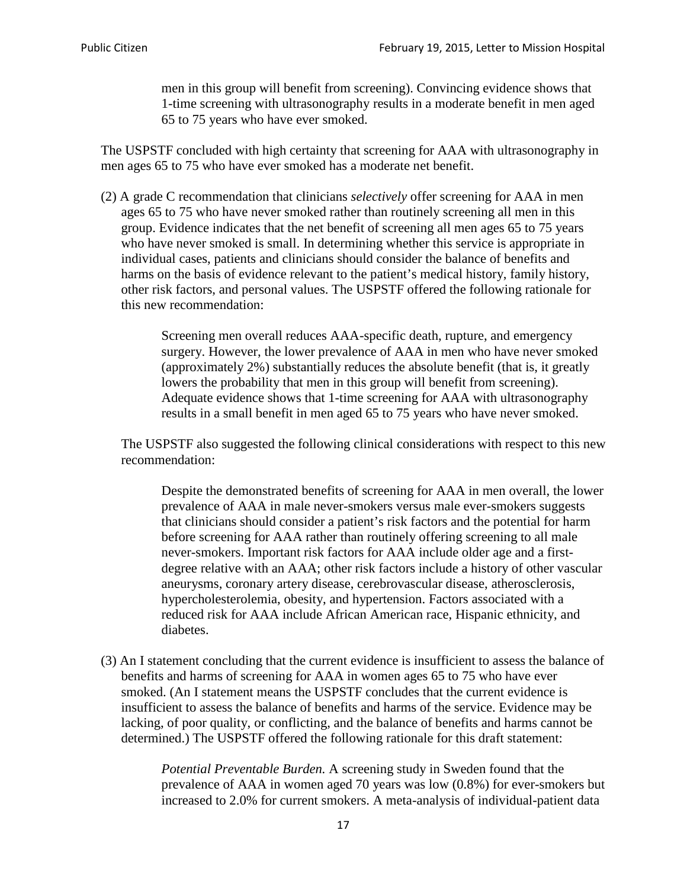men in this group will benefit from screening). Convincing evidence shows that 1-time screening with ultrasonography results in a moderate benefit in men aged 65 to 75 years who have ever smoked.

The USPSTF concluded with high certainty that screening for AAA with ultrasonography in men ages 65 to 75 who have ever smoked has a moderate net benefit.

(2) A grade C recommendation that clinicians *selectively* offer screening for AAA in men ages 65 to 75 who have never smoked rather than routinely screening all men in this group. Evidence indicates that the net benefit of screening all men ages 65 to 75 years who have never smoked is small. In determining whether this service is appropriate in individual cases, patients and clinicians should consider the balance of benefits and harms on the basis of evidence relevant to the patient's medical history, family history, other risk factors, and personal values. The USPSTF offered the following rationale for this new recommendation:

> Screening men overall reduces AAA-specific death, rupture, and emergency surgery. However, the lower prevalence of AAA in men who have never smoked (approximately 2%) substantially reduces the absolute benefit (that is, it greatly lowers the probability that men in this group will benefit from screening). Adequate evidence shows that 1-time screening for AAA with ultrasonography results in a small benefit in men aged 65 to 75 years who have never smoked.

The USPSTF also suggested the following clinical considerations with respect to this new recommendation:

Despite the demonstrated benefits of screening for AAA in men overall, the lower prevalence of AAA in male never-smokers versus male ever-smokers suggests that clinicians should consider a patient's risk factors and the potential for harm before screening for AAA rather than routinely offering screening to all male never-smokers. Important risk factors for AAA include older age and a firstdegree relative with an AAA; other risk factors include a history of other vascular aneurysms, coronary artery disease, cerebrovascular disease, atherosclerosis, hypercholesterolemia, obesity, and hypertension. Factors associated with a reduced risk for AAA include African American race, Hispanic ethnicity, and diabetes.

(3) An I statement concluding that the current evidence is insufficient to assess the balance of benefits and harms of screening for AAA in women ages 65 to 75 who have ever smoked. (An I statement means the USPSTF concludes that the current evidence is insufficient to assess the balance of benefits and harms of the service. Evidence may be lacking, of poor quality, or conflicting, and the balance of benefits and harms cannot be determined.) The USPSTF offered the following rationale for this draft statement:

> *Potential Preventable Burden.* A screening study in Sweden found that the prevalence of AAA in women aged 70 years was low (0.8%) for ever-smokers but increased to 2.0% for current smokers. A meta-analysis of individual-patient data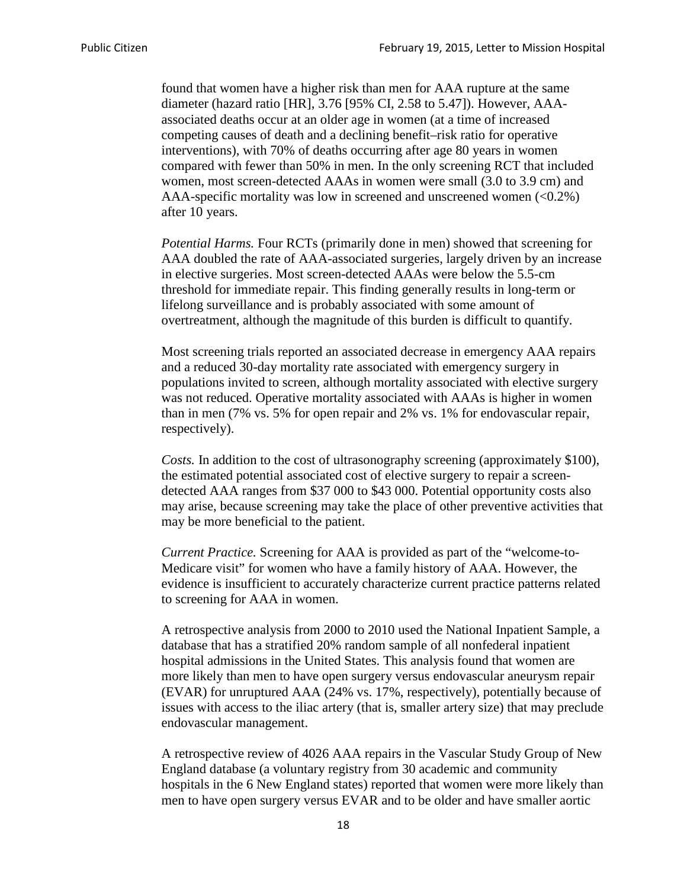found that women have a higher risk than men for AAA rupture at the same diameter (hazard ratio [HR], 3.76 [95% CI, 2.58 to 5.47]). However, AAAassociated deaths occur at an older age in women (at a time of increased competing causes of death and a declining benefit–risk ratio for operative interventions), with 70% of deaths occurring after age 80 years in women compared with fewer than 50% in men. In the only screening RCT that included women, most screen-detected AAAs in women were small (3.0 to 3.9 cm) and AAA-specific mortality was low in screened and unscreened women  $(<0.2\%)$ after 10 years.

*Potential Harms.* Four RCTs (primarily done in men) showed that screening for AAA doubled the rate of AAA-associated surgeries, largely driven by an increase in elective surgeries. Most screen-detected AAAs were below the 5.5-cm threshold for immediate repair. This finding generally results in long-term or lifelong surveillance and is probably associated with some amount of overtreatment, although the magnitude of this burden is difficult to quantify.

Most screening trials reported an associated decrease in emergency AAA repairs and a reduced 30-day mortality rate associated with emergency surgery in populations invited to screen, although mortality associated with elective surgery was not reduced. Operative mortality associated with AAAs is higher in women than in men (7% vs. 5% for open repair and 2% vs. 1% for endovascular repair, respectively).

*Costs.* In addition to the cost of ultrasonography screening (approximately \$100), the estimated potential associated cost of elective surgery to repair a screendetected AAA ranges from \$37 000 to \$43 000. Potential opportunity costs also may arise, because screening may take the place of other preventive activities that may be more beneficial to the patient.

*Current Practice.* Screening for AAA is provided as part of the "welcome-to-Medicare visit" for women who have a family history of AAA. However, the evidence is insufficient to accurately characterize current practice patterns related to screening for AAA in women.

A retrospective analysis from 2000 to 2010 used the National Inpatient Sample, a database that has a stratified 20% random sample of all nonfederal inpatient hospital admissions in the United States. This analysis found that women are more likely than men to have open surgery versus endovascular aneurysm repair (EVAR) for unruptured AAA (24% vs. 17%, respectively), potentially because of issues with access to the iliac artery (that is, smaller artery size) that may preclude endovascular management.

A retrospective review of 4026 AAA repairs in the Vascular Study Group of New England database (a voluntary registry from 30 academic and community hospitals in the 6 New England states) reported that women were more likely than men to have open surgery versus EVAR and to be older and have smaller aortic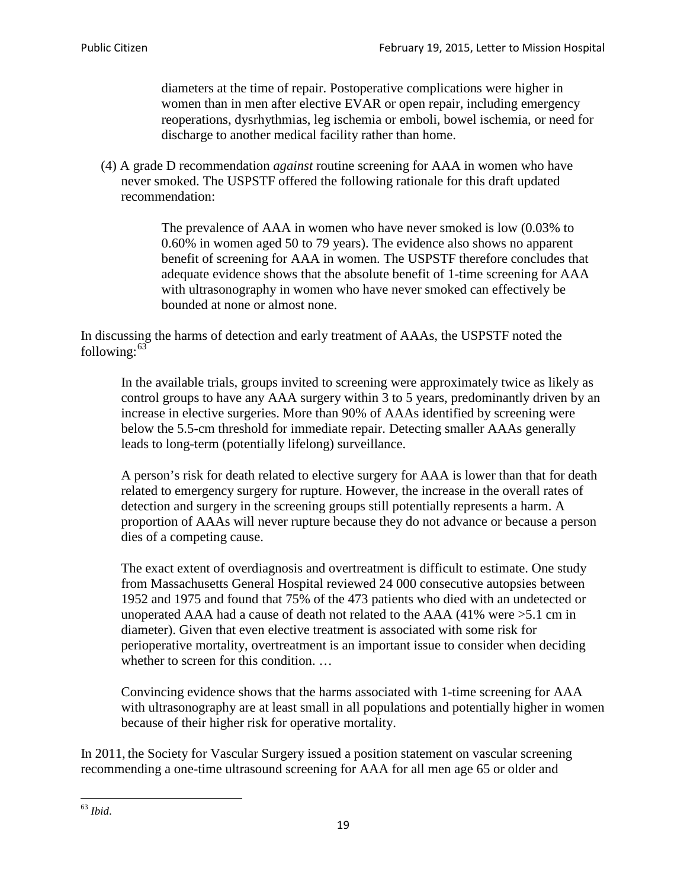diameters at the time of repair. Postoperative complications were higher in women than in men after elective EVAR or open repair, including emergency reoperations, dysrhythmias, leg ischemia or emboli, bowel ischemia, or need for discharge to another medical facility rather than home.

(4) A grade D recommendation *against* routine screening for AAA in women who have never smoked. The USPSTF offered the following rationale for this draft updated recommendation:

> The prevalence of AAA in women who have never smoked is low (0.03% to 0.60% in women aged 50 to 79 years). The evidence also shows no apparent benefit of screening for AAA in women. The USPSTF therefore concludes that adequate evidence shows that the absolute benefit of 1-time screening for AAA with ultrasonography in women who have never smoked can effectively be bounded at none or almost none.

In discussing the harms of detection and early treatment of AAAs, the USPSTF noted the following: $63$ 

In the available trials, groups invited to screening were approximately twice as likely as control groups to have any AAA surgery within 3 to 5 years, predominantly driven by an increase in elective surgeries. More than 90% of AAAs identified by screening were below the 5.5-cm threshold for immediate repair. Detecting smaller AAAs generally leads to long-term (potentially lifelong) surveillance.

A person's risk for death related to elective surgery for AAA is lower than that for death related to emergency surgery for rupture. However, the increase in the overall rates of detection and surgery in the screening groups still potentially represents a harm. A proportion of AAAs will never rupture because they do not advance or because a person dies of a competing cause.

The exact extent of overdiagnosis and overtreatment is difficult to estimate. One study from Massachusetts General Hospital reviewed 24 000 consecutive autopsies between 1952 and 1975 and found that 75% of the 473 patients who died with an undetected or unoperated AAA had a cause of death not related to the AAA (41% were >5.1 cm in diameter). Given that even elective treatment is associated with some risk for perioperative mortality, overtreatment is an important issue to consider when deciding whether to screen for this condition....

Convincing evidence shows that the harms associated with 1-time screening for AAA with ultrasonography are at least small in all populations and potentially higher in women because of their higher risk for operative mortality.

In 2011, the Society for Vascular Surgery issued a position statement on vascular screening recommending a one-time ultrasound screening for AAA for all men age 65 or older and

<span id="page-18-0"></span><sup>63</sup> *Ibid*.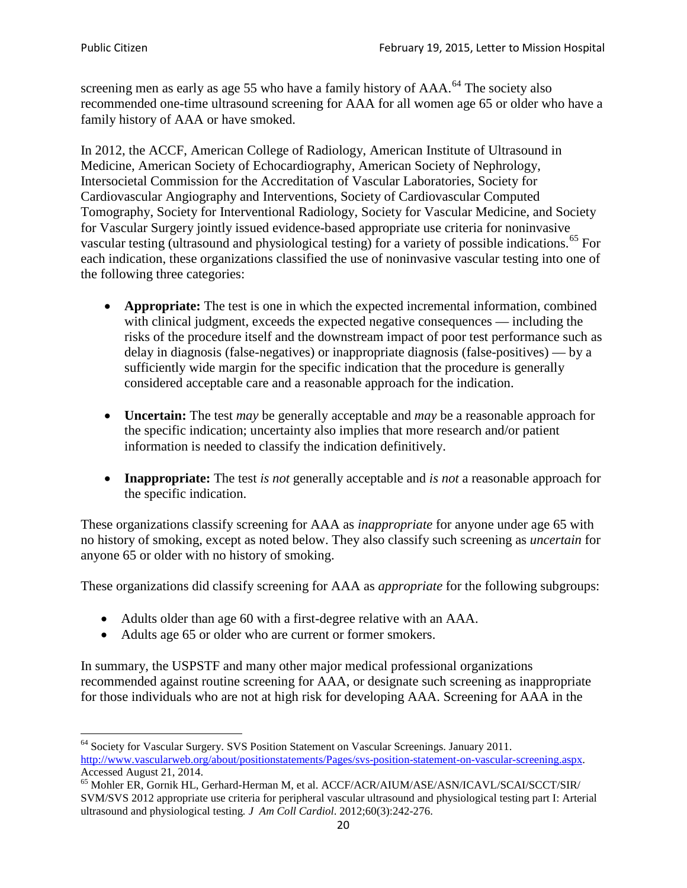screening men as early as age 55 who have a family history of AAA.<sup>[64](#page-19-0)</sup> The society also recommended one-time ultrasound screening for AAA for all women age 65 or older who have a family history of AAA or have smoked.

In 2012, the ACCF, American College of Radiology, American Institute of Ultrasound in Medicine, American Society of Echocardiography, American Society of Nephrology, Intersocietal Commission for the Accreditation of Vascular Laboratories, Society for Cardiovascular Angiography and Interventions, Society of Cardiovascular Computed Tomography, Society for Interventional Radiology, Society for Vascular Medicine, and Society for Vascular Surgery jointly issued evidence-based appropriate use criteria for noninvasive vascular testing (ultrasound and physiological testing) for a variety of possible indications.<sup>[65](#page-19-1)</sup> For each indication, these organizations classified the use of noninvasive vascular testing into one of the following three categories:

- **Appropriate:** The test is one in which the expected incremental information, combined with clinical judgment, exceeds the expected negative consequences — including the risks of the procedure itself and the downstream impact of poor test performance such as delay in diagnosis (false-negatives) or inappropriate diagnosis (false-positives) — by a sufficiently wide margin for the specific indication that the procedure is generally considered acceptable care and a reasonable approach for the indication.
- **Uncertain:** The test *may* be generally acceptable and *may* be a reasonable approach for the specific indication; uncertainty also implies that more research and/or patient information is needed to classify the indication definitively.
- **Inappropriate:** The test *is not* generally acceptable and *is not* a reasonable approach for the specific indication.

These organizations classify screening for AAA as *inappropriate* for anyone under age 65 with no history of smoking, except as noted below. They also classify such screening as *uncertain* for anyone 65 or older with no history of smoking.

These organizations did classify screening for AAA as *appropriate* for the following subgroups:

- Adults older than age 60 with a first-degree relative with an AAA.
- Adults age 65 or older who are current or former smokers.

In summary, the USPSTF and many other major medical professional organizations recommended against routine screening for AAA, or designate such screening as inappropriate for those individuals who are not at high risk for developing AAA. Screening for AAA in the

<span id="page-19-0"></span><sup>64</sup> Society for Vascular Surgery. SVS Position Statement on Vascular Screenings. January 2011. [http://www.vascularweb.org/about/positionstatements/Pages/svs-position-statement-on-vascular-screening.aspx.](http://www.vascularweb.org/about/positionstatements/Pages/svs-position-statement-on-vascular-screening.aspx) 

<span id="page-19-1"></span>Accessed August 21, 2014.<br><sup>65</sup> Mohler ER, Gornik HL, Gerhard-Herman M, et al. ACCF/ACR/AIUM/ASE/ASN/ICAVL/SCAI/SCCT/SIR/ SVM/SVS 2012 appropriate use criteria for peripheral vascular ultrasound and physiological testing part I: Arterial ultrasound and physiological testing*. J Am Coll Cardiol*. 2012;60(3):242-276.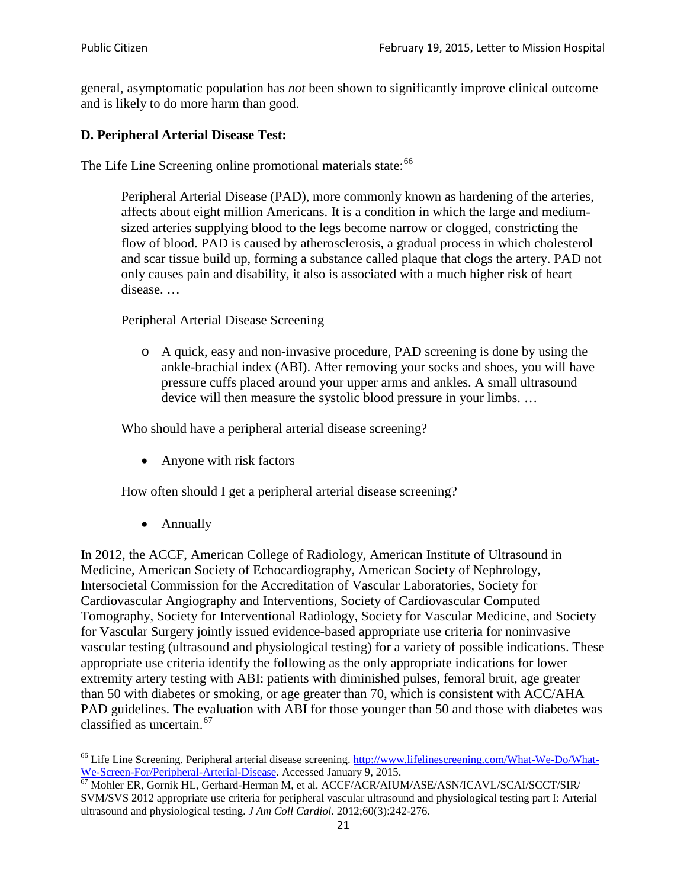general, asymptomatic population has *not* been shown to significantly improve clinical outcome and is likely to do more harm than good.

# **D. Peripheral Arterial Disease Test:**

The Life Line Screening online promotional materials state:<sup>[66](#page-20-0)</sup>

Peripheral Arterial Disease (PAD), more commonly known as hardening of the arteries, affects about eight million Americans. It is a condition in which the large and mediumsized arteries supplying blood to the legs become narrow or clogged, constricting the flow of blood. PAD is caused by atherosclerosis, a gradual process in which cholesterol and scar tissue build up, forming a substance called plaque that clogs the artery. PAD not only causes pain and disability, it also is associated with a much higher risk of heart disease. …

Peripheral Arterial Disease Screening

o A quick, easy and non-invasive procedure, PAD screening is done by using the ankle-brachial index (ABI). After removing your socks and shoes, you will have pressure cuffs placed around your upper arms and ankles. A small ultrasound device will then measure the systolic blood pressure in your limbs. …

Who should have a peripheral arterial disease screening?

• Anyone with risk factors

How often should I get a peripheral arterial disease screening?

• Annually

In 2012, the ACCF, American College of Radiology, American Institute of Ultrasound in Medicine, American Society of Echocardiography, American Society of Nephrology, Intersocietal Commission for the Accreditation of Vascular Laboratories, Society for Cardiovascular Angiography and Interventions, Society of Cardiovascular Computed Tomography, Society for Interventional Radiology, Society for Vascular Medicine, and Society for Vascular Surgery jointly issued evidence-based appropriate use criteria for noninvasive vascular testing (ultrasound and physiological testing) for a variety of possible indications. These appropriate use criteria identify the following as the only appropriate indications for lower extremity artery testing with ABI: patients with diminished pulses, femoral bruit, age greater than 50 with diabetes or smoking, or age greater than 70, which is consistent with ACC/AHA PAD guidelines. The evaluation with ABI for those younger than 50 and those with diabetes was classified as uncertain.<sup>[67](#page-20-1)</sup>

<span id="page-20-0"></span><sup>&</sup>lt;sup>66</sup> Life Line Screening. Peripheral arterial disease screening. [http://www.lifelinescreening.com/What-We-Do/What-](http://www.lifelinescreening.com/What-We-Do/What-We-Screen-For/Peripheral-Arterial-Disease)

<span id="page-20-1"></span>[We-Screen-For/Peripheral-Arterial-Disease.](http://www.lifelinescreening.com/What-We-Do/What-We-Screen-For/Peripheral-Arterial-Disease) Accessed January 9, 2015.<br><sup>67</sup> Mohler ER, Gornik HL, Gerhard-Herman M, et al. ACCF/ACR/AIUM/ASE/ASN/ICAVL/SCAI/SCCT/SIR/ SVM/SVS 2012 appropriate use criteria for peripheral vascular ultrasound and physiological testing part I: Arterial ultrasound and physiological testing. *J Am Coll Cardiol*. 2012;60(3):242-276.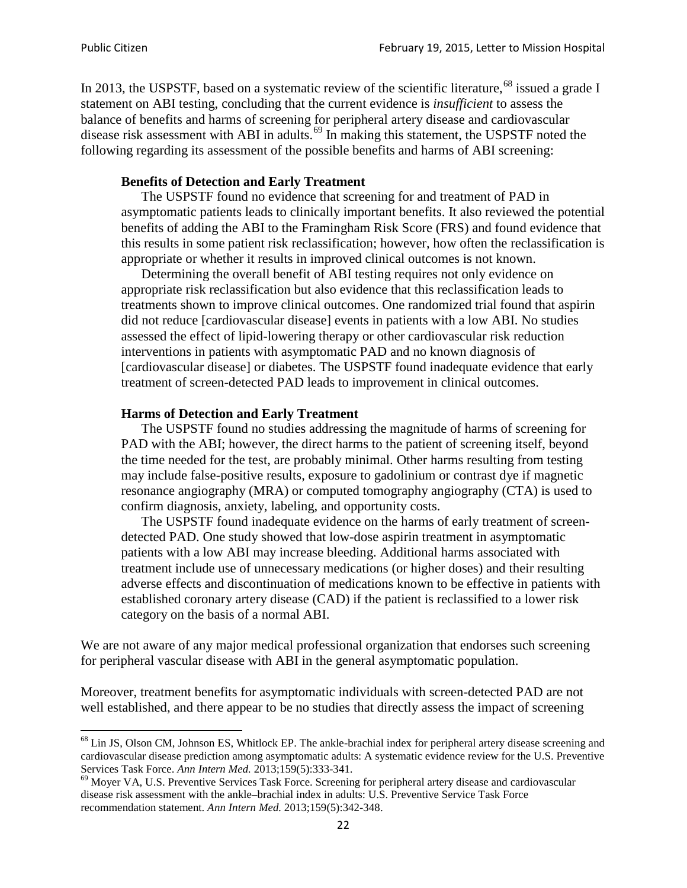In 2013, the USPSTF, based on a systematic review of the scientific literature,<sup>[68](#page-21-0)</sup> issued a grade I statement on ABI testing, concluding that the current evidence is *insufficient* to assess the balance of benefits and harms of screening for peripheral artery disease and cardiovascular disease risk assessment with ABI in adults.<sup>[69](#page-21-1)</sup> In making this statement, the USPSTF noted the following regarding its assessment of the possible benefits and harms of ABI screening:

#### **Benefits of Detection and Early Treatment**

The USPSTF found no evidence that screening for and treatment of PAD in asymptomatic patients leads to clinically important benefits. It also reviewed the potential benefits of adding the ABI to the Framingham Risk Score (FRS) and found evidence that this results in some patient risk reclassification; however, how often the reclassification is appropriate or whether it results in improved clinical outcomes is not known.

Determining the overall benefit of ABI testing requires not only evidence on appropriate risk reclassification but also evidence that this reclassification leads to treatments shown to improve clinical outcomes. One randomized trial found that aspirin did not reduce [cardiovascular disease] events in patients with a low ABI. No studies assessed the effect of lipid-lowering therapy or other cardiovascular risk reduction interventions in patients with asymptomatic PAD and no known diagnosis of [cardiovascular disease] or diabetes. The USPSTF found inadequate evidence that early treatment of screen-detected PAD leads to improvement in clinical outcomes.

#### **Harms of Detection and Early Treatment**

The USPSTF found no studies addressing the magnitude of harms of screening for PAD with the ABI; however, the direct harms to the patient of screening itself, beyond the time needed for the test, are probably minimal. Other harms resulting from testing may include false-positive results, exposure to gadolinium or contrast dye if magnetic resonance angiography (MRA) or computed tomography angiography (CTA) is used to confirm diagnosis, anxiety, labeling, and opportunity costs.

The USPSTF found inadequate evidence on the harms of early treatment of screendetected PAD. One study showed that low-dose aspirin treatment in asymptomatic patients with a low ABI may increase bleeding. Additional harms associated with treatment include use of unnecessary medications (or higher doses) and their resulting adverse effects and discontinuation of medications known to be effective in patients with established coronary artery disease (CAD) if the patient is reclassified to a lower risk category on the basis of a normal ABI.

We are not aware of any major medical professional organization that endorses such screening for peripheral vascular disease with ABI in the general asymptomatic population.

Moreover, treatment benefits for asymptomatic individuals with screen-detected PAD are not well established, and there appear to be no studies that directly assess the impact of screening

<span id="page-21-0"></span><sup>&</sup>lt;sup>68</sup> Lin JS, Olson CM, Johnson ES, Whitlock EP. The ankle-brachial index for peripheral artery disease screening and cardiovascular disease prediction among asymptomatic adults: A systematic evidence review for the U.S. Preventive Services Task Force. *Ann Intern Med.* 2013;159(5):333-341.<br><sup>69</sup> Moyer VA, U.S. Preventive Services Task Force. Screening for peripheral artery disease and cardiovascular

<span id="page-21-1"></span>disease risk assessment with the ankle–brachial index in adults: U.S. Preventive Service Task Force recommendation statement. *Ann Intern Med.* 2013;159(5):342-348.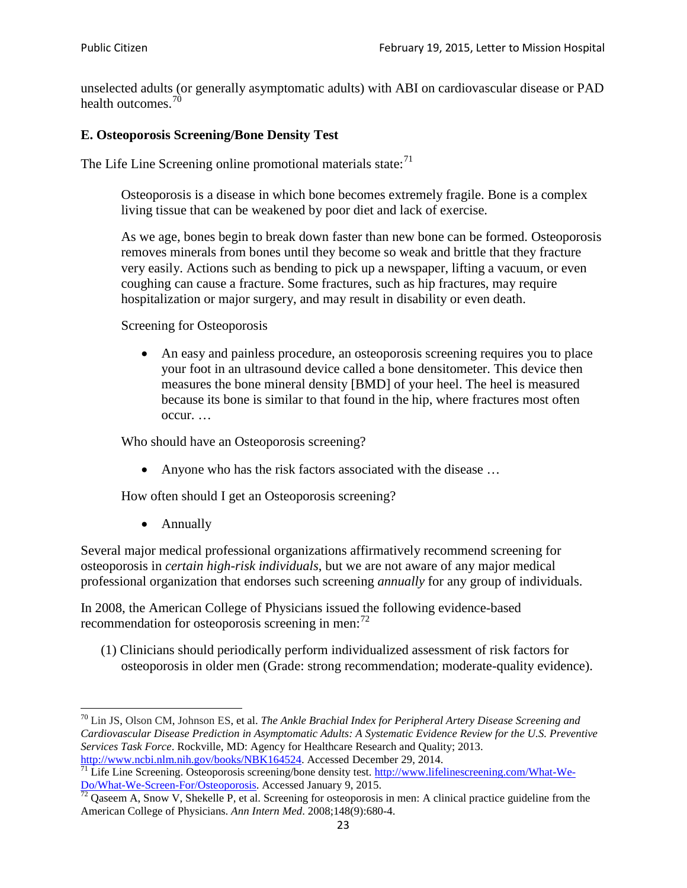unselected adults (or generally asymptomatic adults) with ABI on cardiovascular disease or PAD health outcomes.<sup>[70](#page-22-0)</sup>

#### **E. Osteoporosis Screening/Bone Density Test**

The Life Line Screening online promotional materials state: $71$ 

Osteoporosis is a disease in which bone becomes extremely fragile. Bone is a complex living tissue that can be weakened by poor diet and lack of exercise.

As we age, bones begin to break down faster than new bone can be formed. Osteoporosis removes minerals from bones until they become so weak and brittle that they fracture very easily. Actions such as bending to pick up a newspaper, lifting a vacuum, or even coughing can cause a fracture. Some fractures, such as hip fractures, may require hospitalization or major surgery, and may result in disability or even death.

Screening for Osteoporosis

• An easy and painless procedure, an osteoporosis screening requires you to place your foot in an ultrasound device called a bone densitometer. This device then measures the bone mineral density [BMD] of your heel. The heel is measured because its bone is similar to that found in the hip, where fractures most often occur. …

Who should have an Osteoporosis screening?

• Anyone who has the risk factors associated with the disease ...

How often should I get an Osteoporosis screening?

• Annually

Several major medical professional organizations affirmatively recommend screening for osteoporosis in *certain high-risk individuals*, but we are not aware of any major medical professional organization that endorses such screening *annually* for any group of individuals.

In 2008, the American College of Physicians issued the following evidence-based recommendation for osteoporosis screening in men: $^{72}$  $^{72}$  $^{72}$ 

(1) Clinicians should periodically perform individualized assessment of risk factors for osteoporosis in older men (Grade: strong recommendation; moderate-quality evidence).

<span id="page-22-0"></span><sup>70</sup> [Lin JS,](http://www.ncbi.nlm.nih.gov/pubmed?term=Lin%20JS%5BAuthor%5D&cauthor=true&cauthor_uid=24156115) [Olson CM,](http://www.ncbi.nlm.nih.gov/pubmed?term=Olson%20CM%5BAuthor%5D&cauthor=true&cauthor_uid=24156115) [Johnson ES,](http://www.ncbi.nlm.nih.gov/pubmed?term=Johnson%20ES%5BAuthor%5D&cauthor=true&cauthor_uid=24156115) et al. *The Ankle Brachial Index for Peripheral Artery Disease Screening and Cardiovascular Disease Prediction in Asymptomatic Adults: A Systematic Evidence Review for the U.S. Preventive Services Task Force*. Rockville, MD: Agency for Healthcare Research and Quality; 2013.<br>http://www.ncbi.nlm.nih.gov/books/NBK164524. Accessed December 29, 2014.

<span id="page-22-1"></span> $\frac{1}{71}$  Life Line Screening. Osteoporosis screening/bone density test. [http://www.lifelinescreening.com/What-We-](http://www.lifelinescreening.com/What-We-Do/What-We-Screen-For/Osteoporosis) $\frac{Do/What-We-Screen-For/Osteoporosis}{72}$  Qaseem A, Snow V, Shekelle P, et al. Screening for osteoporosis in men: A clinical practice guideline from the

<span id="page-22-2"></span>American College of Physicians. *Ann Intern Med*. 2008;148(9):680-4.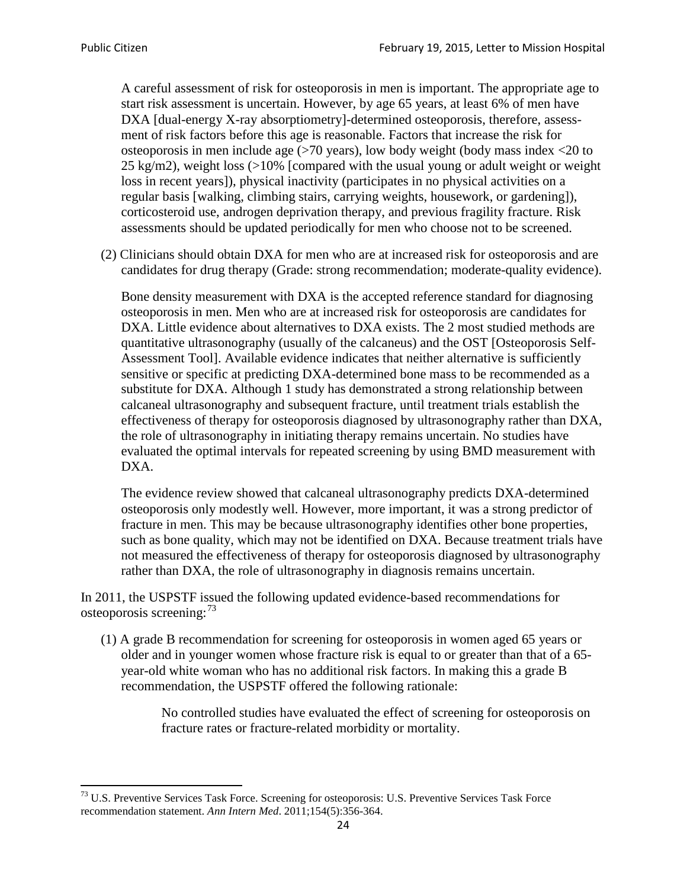A careful assessment of risk for osteoporosis in men is important. The appropriate age to start risk assessment is uncertain. However, by age 65 years, at least 6% of men have DXA [dual-energy X-ray absorptiometry]-determined osteoporosis, therefore, assessment of risk factors before this age is reasonable. Factors that increase the risk for osteoporosis in men include age (>70 years), low body weight (body mass index <20 to 25 kg/m2), weight loss (>10% [compared with the usual young or adult weight or weight loss in recent years]), physical inactivity (participates in no physical activities on a regular basis [walking, climbing stairs, carrying weights, housework, or gardening]), corticosteroid use, androgen deprivation therapy, and previous fragility fracture. Risk assessments should be updated periodically for men who choose not to be screened.

(2) Clinicians should obtain DXA for men who are at increased risk for osteoporosis and are candidates for drug therapy (Grade: strong recommendation; moderate-quality evidence).

Bone density measurement with DXA is the accepted reference standard for diagnosing osteoporosis in men. Men who are at increased risk for osteoporosis are candidates for DXA. Little evidence about alternatives to DXA exists. The 2 most studied methods are quantitative ultrasonography (usually of the calcaneus) and the OST [Osteoporosis Self-Assessment Tool]. Available evidence indicates that neither alternative is sufficiently sensitive or specific at predicting DXA-determined bone mass to be recommended as a substitute for DXA. Although 1 study has demonstrated a strong relationship between calcaneal ultrasonography and subsequent fracture, until treatment trials establish the effectiveness of therapy for osteoporosis diagnosed by ultrasonography rather than DXA, the role of ultrasonography in initiating therapy remains uncertain. No studies have evaluated the optimal intervals for repeated screening by using BMD measurement with DXA.

The evidence review showed that calcaneal ultrasonography predicts DXA-determined osteoporosis only modestly well. However, more important, it was a strong predictor of fracture in men. This may be because ultrasonography identifies other bone properties, such as bone quality, which may not be identified on DXA. Because treatment trials have not measured the effectiveness of therapy for osteoporosis diagnosed by ultrasonography rather than DXA, the role of ultrasonography in diagnosis remains uncertain.

In 2011, the USPSTF issued the following updated evidence-based recommendations for osteoporosis screening:<sup>[73](#page-23-0)</sup>

(1) A grade B recommendation for screening for osteoporosis in women aged 65 years or older and in younger women whose fracture risk is equal to or greater than that of a 65 year-old white woman who has no additional risk factors. In making this a grade B recommendation, the USPSTF offered the following rationale:

> No controlled studies have evaluated the effect of screening for osteoporosis on fracture rates or fracture-related morbidity or mortality.

<span id="page-23-0"></span><sup>&</sup>lt;sup>73</sup> U.S. Preventive Services Task Force. Screening for osteoporosis: U.S. Preventive Services Task Force recommendation statement. *Ann Intern Med*. 2011;154(5):356-364.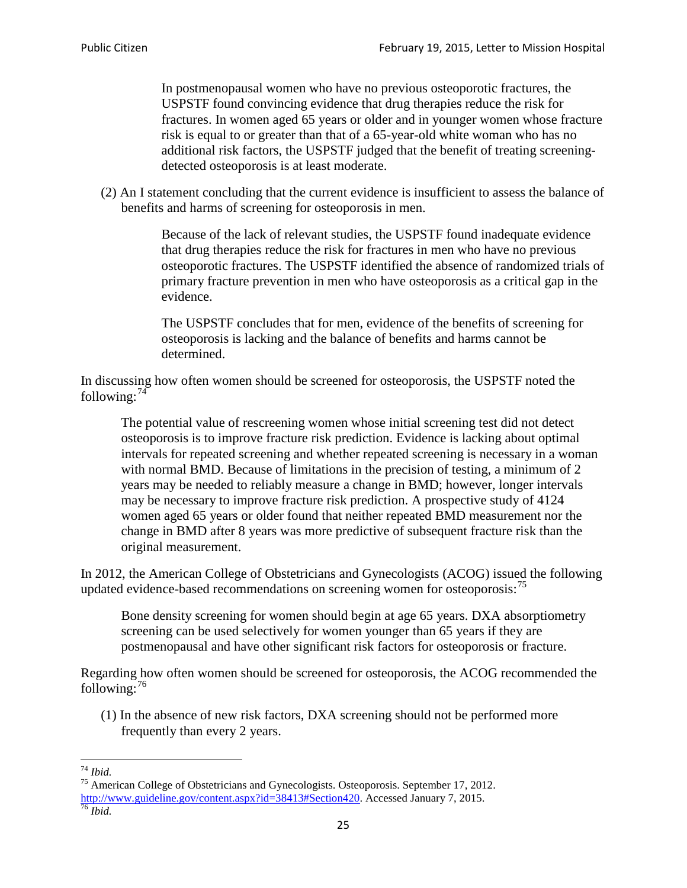In postmenopausal women who have no previous osteoporotic fractures, the USPSTF found convincing evidence that drug therapies reduce the risk for fractures. In women aged 65 years or older and in younger women whose fracture risk is equal to or greater than that of a 65-year-old white woman who has no additional risk factors, the USPSTF judged that the benefit of treating screeningdetected osteoporosis is at least moderate.

(2) An I statement concluding that the current evidence is insufficient to assess the balance of benefits and harms of screening for osteoporosis in men.

> Because of the lack of relevant studies, the USPSTF found inadequate evidence that drug therapies reduce the risk for fractures in men who have no previous osteoporotic fractures. The USPSTF identified the absence of randomized trials of primary fracture prevention in men who have osteoporosis as a critical gap in the evidence.

The USPSTF concludes that for men, evidence of the benefits of screening for osteoporosis is lacking and the balance of benefits and harms cannot be determined.

In discussing how often women should be screened for osteoporosis, the USPSTF noted the following: $74$ 

The potential value of rescreening women whose initial screening test did not detect osteoporosis is to improve fracture risk prediction. Evidence is lacking about optimal intervals for repeated screening and whether repeated screening is necessary in a woman with normal BMD. Because of limitations in the precision of testing, a minimum of 2 years may be needed to reliably measure a change in BMD; however, longer intervals may be necessary to improve fracture risk prediction. A prospective study of 4124 women aged 65 years or older found that neither repeated BMD measurement nor the change in BMD after 8 years was more predictive of subsequent fracture risk than the original measurement.

In 2012, the American College of Obstetricians and Gynecologists (ACOG) issued the following updated evidence-based recommendations on screening women for osteoporosis:<sup>[75](#page-24-1)</sup>

Bone density screening for women should begin at age 65 years. DXA absorptiometry screening can be used selectively for women younger than 65 years if they are postmenopausal and have other significant risk factors for osteoporosis or fracture.

Regarding how often women should be screened for osteoporosis, the ACOG recommended the following: $^{76}$  $^{76}$  $^{76}$ 

(1) In the absence of new risk factors, DXA screening should not be performed more frequently than every 2 years.

<span id="page-24-2"></span><span id="page-24-1"></span><span id="page-24-0"></span><sup>74</sup> *Ibid.* <sup>75</sup> American College of Obstetricians and Gynecologists. Osteoporosis. September 17, 2012. [http://www.guideline.gov/content.aspx?id=38413#Section420.](http://www.guideline.gov/content.aspx?id=38413#Section420) Accessed January 7, 2015.<br><sup>76</sup> *Ibid.*